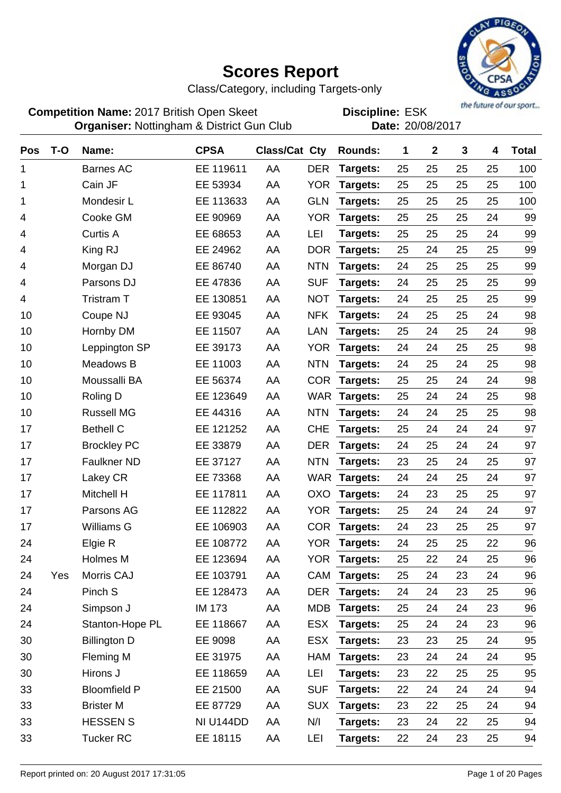

Class/Category, including Targets-only

**Competition Name:** 2017 British Open Skeet **EDIS** Discipline: ESK **Organiser:** Nottingham & District Gun Club **Date:** 20/08/2017

| Pos | $T-O$ | Name:               | <b>CPSA</b>   | Class/Cat Cty |            | Rounds:      | 1  | $\mathbf 2$ | 3  | 4  | <b>Total</b> |
|-----|-------|---------------------|---------------|---------------|------------|--------------|----|-------------|----|----|--------------|
| 1   |       | <b>Barnes AC</b>    | EE 119611     | AA            | <b>DER</b> | Targets:     | 25 | 25          | 25 | 25 | 100          |
| 1   |       | Cain JF             | EE 53934      | AA            | <b>YOR</b> | Targets:     | 25 | 25          | 25 | 25 | 100          |
| 1   |       | Mondesir L          | EE 113633     | AA            | <b>GLN</b> | Targets:     | 25 | 25          | 25 | 25 | 100          |
| 4   |       | Cooke GM            | EE 90969      | AA            | <b>YOR</b> | Targets:     | 25 | 25          | 25 | 24 | 99           |
| 4   |       | <b>Curtis A</b>     | EE 68653      | AA            | LEI        | Targets:     | 25 | 25          | 25 | 24 | 99           |
| 4   |       | King RJ             | EE 24962      | AA            | <b>DOR</b> | Targets:     | 25 | 24          | 25 | 25 | 99           |
| 4   |       | Morgan DJ           | EE 86740      | AA            | <b>NTN</b> | Targets:     | 24 | 25          | 25 | 25 | 99           |
| 4   |       | Parsons DJ          | EE 47836      | AA            | <b>SUF</b> | Targets:     | 24 | 25          | 25 | 25 | 99           |
| 4   |       | Tristram T          | EE 130851     | AA            | <b>NOT</b> | Targets:     | 24 | 25          | 25 | 25 | 99           |
| 10  |       | Coupe NJ            | EE 93045      | AA            | <b>NFK</b> | Targets:     | 24 | 25          | 25 | 24 | 98           |
| 10  |       | Hornby DM           | EE 11507      | AA            | LAN        | Targets:     | 25 | 24          | 25 | 24 | 98           |
| 10  |       | Leppington SP       | EE 39173      | AA            | <b>YOR</b> | Targets:     | 24 | 24          | 25 | 25 | 98           |
| 10  |       | Meadows B           | EE 11003      | AA            | <b>NTN</b> | Targets:     | 24 | 25          | 24 | 25 | 98           |
| 10  |       | Moussalli BA        | EE 56374      | AA            | <b>COR</b> | Targets:     | 25 | 25          | 24 | 24 | 98           |
| 10  |       | Roling D            | EE 123649     | AA            |            | WAR Targets: | 25 | 24          | 24 | 25 | 98           |
| 10  |       | <b>Russell MG</b>   | EE 44316      | AA            | <b>NTN</b> | Targets:     | 24 | 24          | 25 | 25 | 98           |
| 17  |       | <b>Bethell C</b>    | EE 121252     | AA            | <b>CHE</b> | Targets:     | 25 | 24          | 24 | 24 | 97           |
| 17  |       | <b>Brockley PC</b>  | EE 33879      | AA            | <b>DER</b> | Targets:     | 24 | 25          | 24 | 24 | 97           |
| 17  |       | <b>Faulkner ND</b>  | EE 37127      | AA            | <b>NTN</b> | Targets:     | 23 | 25          | 24 | 25 | 97           |
| 17  |       | Lakey CR            | EE 73368      | AA            |            | WAR Targets: | 24 | 24          | 25 | 24 | 97           |
| 17  |       | Mitchell H          | EE 117811     | AA            | OXO        | Targets:     | 24 | 23          | 25 | 25 | 97           |
| 17  |       | Parsons AG          | EE 112822     | AA            | <b>YOR</b> | Targets:     | 25 | 24          | 24 | 24 | 97           |
| 17  |       | <b>Williams G</b>   | EE 106903     | AA            | <b>COR</b> | Targets:     | 24 | 23          | 25 | 25 | 97           |
| 24  |       | Elgie R             | EE 108772     | AA            | <b>YOR</b> | Targets:     | 24 | 25          | 25 | 22 | 96           |
| 24  |       | <b>Holmes M</b>     | EE 123694     | AA            | <b>YOR</b> | Targets:     | 25 | 22          | 24 | 25 | 96           |
| 24  | Yes   | Morris CAJ          | EE 103791     | AA            |            | CAM Targets: | 25 | 24          | 23 | 24 | 96           |
| 24  |       | Pinch S             | EE 128473     | AA            | <b>DER</b> | Targets:     | 24 | 24          | 23 | 25 | 96           |
| 24  |       | Simpson J           | <b>IM 173</b> | AA            | <b>MDB</b> | Targets:     | 25 | 24          | 24 | 23 | 96           |
| 24  |       | Stanton-Hope PL     | EE 118667     | AA            | <b>ESX</b> | Targets:     | 25 | 24          | 24 | 23 | 96           |
| 30  |       | <b>Billington D</b> | EE 9098       | AA            | <b>ESX</b> | Targets:     | 23 | 23          | 25 | 24 | 95           |
| 30  |       | Fleming M           | EE 31975      | AA            | HAM        | Targets:     | 23 | 24          | 24 | 24 | 95           |
| 30  |       | Hirons J            | EE 118659     | AA            | LEI        | Targets:     | 23 | 22          | 25 | 25 | 95           |
| 33  |       | <b>Bloomfield P</b> | EE 21500      | AA            | <b>SUF</b> | Targets:     | 22 | 24          | 24 | 24 | 94           |
| 33  |       | <b>Brister M</b>    | EE 87729      | AA            | <b>SUX</b> | Targets:     | 23 | 22          | 25 | 24 | 94           |
| 33  |       | <b>HESSEN S</b>     | NI U144DD     | AA            | N/I        | Targets:     | 23 | 24          | 22 | 25 | 94           |
| 33  |       | <b>Tucker RC</b>    | EE 18115      | AA            | LEI        | Targets:     | 22 | 24          | 23 | 25 | 94           |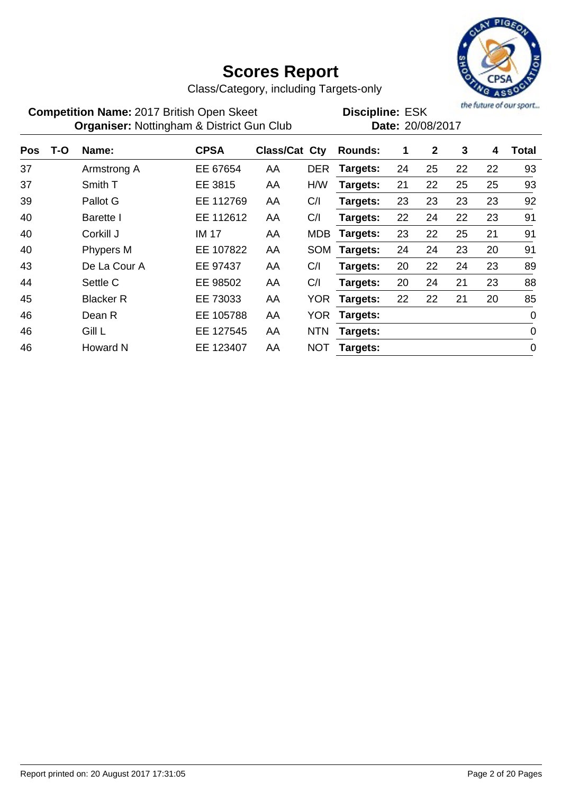

Class/Category, including Targets-only

| <b>Competition Name: 2017 British Open Skeet</b>     | <b>Discipline: ESK</b> |
|------------------------------------------------------|------------------------|
| <b>Organiser: Nottingham &amp; District Gun Club</b> | Date: 20/08/2017       |

the future of our sport...

| Pos | T-O | Name:            | <b>CPSA</b>  | <b>Class/Cat Cty</b> |            | <b>Rounds:</b> | 1  | $\mathbf{2}$ | 3  | 4  | Total       |
|-----|-----|------------------|--------------|----------------------|------------|----------------|----|--------------|----|----|-------------|
| 37  |     | Armstrong A      | EE 67654     | AA                   | <b>DER</b> | Targets:       | 24 | 25           | 22 | 22 | 93          |
| 37  |     | Smith T          | EE 3815      | AA                   | H/W        | Targets:       | 21 | 22           | 25 | 25 | 93          |
| 39  |     | Pallot G         | EE 112769    | AA                   | C/I        | Targets:       | 23 | 23           | 23 | 23 | 92          |
| 40  |     | <b>Barette</b> I | EE 112612    | AA                   | C/I        | Targets:       | 22 | 24           | 22 | 23 | 91          |
| 40  |     | Corkill J        | <b>IM 17</b> | AA                   | <b>MDB</b> | Targets:       | 23 | 22           | 25 | 21 | 91          |
| 40  |     | Phypers M        | EE 107822    | AA                   | SOM        | Targets:       | 24 | 24           | 23 | 20 | 91          |
| 43  |     | De La Cour A     | EE 97437     | AA                   | C/I        | Targets:       | 20 | 22           | 24 | 23 | 89          |
| 44  |     | Settle C         | EE 98502     | AA                   | C/I        | Targets:       | 20 | 24           | 21 | 23 | 88          |
| 45  |     | <b>Blacker R</b> | EE 73033     | AA                   | <b>YOR</b> | Targets:       | 22 | 22           | 21 | 20 | 85          |
| 46  |     | Dean R           | EE 105788    | AA                   | <b>YOR</b> | Targets:       |    |              |    |    | $\mathbf 0$ |
| 46  |     | Gill L           | EE 127545    | AA                   | <b>NTN</b> | Targets:       |    |              |    |    | $\mathbf 0$ |
| 46  |     | <b>Howard N</b>  | EE 123407    | AA                   | <b>NOT</b> | Targets:       |    |              |    |    | 0           |
|     |     |                  |              |                      |            |                |    |              |    |    |             |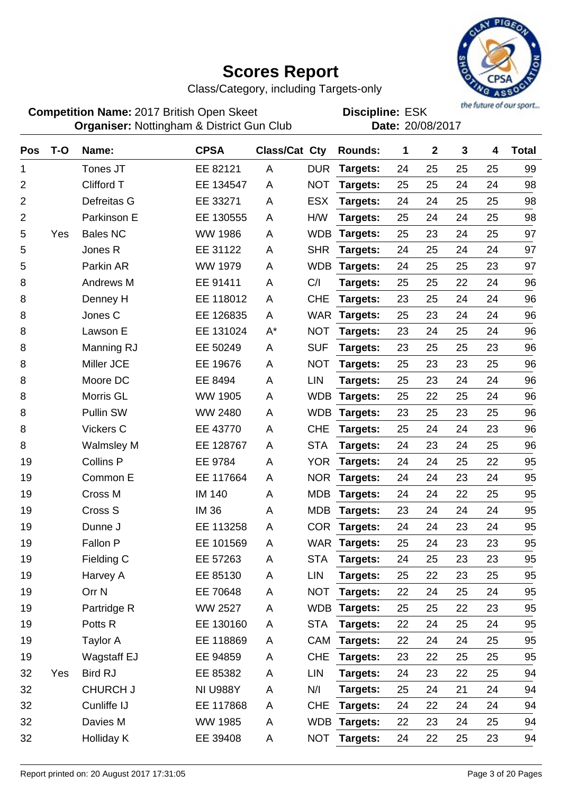

Class/Category, including Targets-only

**Competition Name:** 2017 British Open Skeet **EDIS** Discipline: ESK **Organiser:** Nottingham & District Gun Club **Date:** 20/08/2017

| <b>Pos</b>     | $T-O$ | Name:              | <b>CPSA</b>     | Class/Cat Cty |            | Rounds:      | 1  | $\boldsymbol{2}$ | 3  | 4  | <b>Total</b> |
|----------------|-------|--------------------|-----------------|---------------|------------|--------------|----|------------------|----|----|--------------|
| 1              |       | Tones JT           | EE 82121        | A             | <b>DUR</b> | Targets:     | 24 | 25               | 25 | 25 | 99           |
| 2              |       | Clifford T         | EE 134547       | A             | <b>NOT</b> | Targets:     | 25 | 25               | 24 | 24 | 98           |
| $\overline{2}$ |       | Defreitas G        | EE 33271        | A             | <b>ESX</b> | Targets:     | 24 | 24               | 25 | 25 | 98           |
| $\overline{2}$ |       | Parkinson E        | EE 130555       | A             | H/W        | Targets:     | 25 | 24               | 24 | 25 | 98           |
| 5              | Yes   | <b>Bales NC</b>    | <b>WW 1986</b>  | A             | <b>WDB</b> | Targets:     | 25 | 23               | 24 | 25 | 97           |
| 5              |       | Jones R            | EE 31122        | Α             | <b>SHR</b> | Targets:     | 24 | 25               | 24 | 24 | 97           |
| 5              |       | Parkin AR          | <b>WW 1979</b>  | A             | <b>WDB</b> | Targets:     | 24 | 25               | 25 | 23 | 97           |
| 8              |       | Andrews M          | EE 91411        | Α             | C/I        | Targets:     | 25 | 25               | 22 | 24 | 96           |
| 8              |       | Denney H           | EE 118012       | A             | <b>CHE</b> | Targets:     | 23 | 25               | 24 | 24 | 96           |
| 8              |       | Jones C            | EE 126835       | A             | <b>WAR</b> | Targets:     | 25 | 23               | 24 | 24 | 96           |
| 8              |       | Lawson E           | EE 131024       | $A^*$         | <b>NOT</b> | Targets:     | 23 | 24               | 25 | 24 | 96           |
| 8              |       | Manning RJ         | EE 50249        | A             | <b>SUF</b> | Targets:     | 23 | 25               | 25 | 23 | 96           |
| 8              |       | Miller JCE         | EE 19676        | A             | <b>NOT</b> | Targets:     | 25 | 23               | 23 | 25 | 96           |
| 8              |       | Moore DC           | EE 8494         | A             | <b>LIN</b> | Targets:     | 25 | 23               | 24 | 24 | 96           |
| 8              |       | Morris GL          | <b>WW 1905</b>  | Α             | <b>WDB</b> | Targets:     | 25 | 22               | 25 | 24 | 96           |
| 8              |       | <b>Pullin SW</b>   | WW 2480         | Α             | <b>WDB</b> | Targets:     | 23 | 25               | 23 | 25 | 96           |
| 8              |       | Vickers C          | EE 43770        | A             | <b>CHE</b> | Targets:     | 25 | 24               | 24 | 23 | 96           |
| 8              |       | <b>Walmsley M</b>  | EE 128767       | A             | <b>STA</b> | Targets:     | 24 | 23               | 24 | 25 | 96           |
| 19             |       | <b>Collins P</b>   | EE 9784         | A             | <b>YOR</b> | Targets:     | 24 | 24               | 25 | 22 | 95           |
| 19             |       | Common E           | EE 117664       | A             | <b>NOR</b> | Targets:     | 24 | 24               | 23 | 24 | 95           |
| 19             |       | Cross M            | <b>IM 140</b>   | A             | <b>MDB</b> | Targets:     | 24 | 24               | 22 | 25 | 95           |
| 19             |       | Cross S            | <b>IM36</b>     | Α             | <b>MDB</b> | Targets:     | 23 | 24               | 24 | 24 | 95           |
| 19             |       | Dunne J            | EE 113258       | A             | <b>COR</b> | Targets:     | 24 | 24               | 23 | 24 | 95           |
| 19             |       | Fallon P           | EE 101569       | A             | <b>WAR</b> | Targets:     | 25 | 24               | 23 | 23 | 95           |
| 19             |       | Fielding C         | EE 57263        | Α             | <b>STA</b> | Targets:     | 24 | 25               | 23 | 23 | 95           |
| 19             |       | Harvey A           | EE 85130        | A             | LIN        | Targets:     | 25 | 22               | 23 | 25 | 95           |
| 19             |       | Orr <sub>N</sub>   | EE 70648        | A             | <b>NOT</b> | Targets:     | 22 | 24               | 25 | 24 | 95           |
| 19             |       | Partridge R        | <b>WW 2527</b>  | Α             |            | WDB Targets: | 25 | 25               | 22 | 23 | 95           |
| 19             |       | Potts <sub>R</sub> | EE 130160       | A             | <b>STA</b> | Targets:     | 22 | 24               | 25 | 24 | 95           |
| 19             |       | Taylor A           | EE 118869       | A             | CAM        | Targets:     | 22 | 24               | 24 | 25 | 95           |
| 19             |       | <b>Wagstaff EJ</b> | EE 94859        | A             | <b>CHE</b> | Targets:     | 23 | 22               | 25 | 25 | 95           |
| 32             | Yes   | <b>Bird RJ</b>     | EE 85382        | Α             | LIN        | Targets:     | 24 | 23               | 22 | 25 | 94           |
| 32             |       | <b>CHURCH J</b>    | <b>NI U988Y</b> | A             | N/I        | Targets:     | 25 | 24               | 21 | 24 | 94           |
| 32             |       | Cunliffe IJ        | EE 117868       | A             | <b>CHE</b> | Targets:     | 24 | 22               | 24 | 24 | 94           |
| 32             |       | Davies M           | <b>WW 1985</b>  | A             |            | WDB Targets: | 22 | 23               | 24 | 25 | 94           |
| 32             |       | Holliday K         | EE 39408        | A             | <b>NOT</b> | Targets:     | 24 | 22               | 25 | 23 | 94           |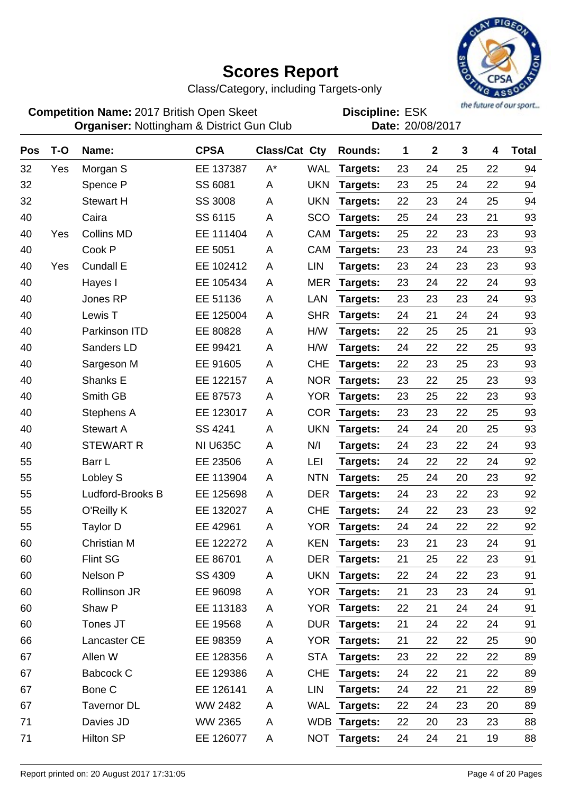

Class/Category, including Targets-only

**Competition Name:** 2017 British Open Skeet **EDIS** Discipline: ESK **Organiser:** Nottingham & District Gun Club **Date:** 20/08/2017

| Pos | $T-O$ | Name:              | <b>CPSA</b>     | Class/Cat Cty |            | Rounds:         | 1  | $\mathbf 2$ | 3  | 4  | <b>Total</b> |
|-----|-------|--------------------|-----------------|---------------|------------|-----------------|----|-------------|----|----|--------------|
| 32  | Yes   | Morgan S           | EE 137387       | $A^*$         | <b>WAL</b> | Targets:        | 23 | 24          | 25 | 22 | 94           |
| 32  |       | Spence P           | SS 6081         | A             | <b>UKN</b> | Targets:        | 23 | 25          | 24 | 22 | 94           |
| 32  |       | <b>Stewart H</b>   | <b>SS 3008</b>  | Α             | <b>UKN</b> | Targets:        | 22 | 23          | 24 | 25 | 94           |
| 40  |       | Caira              | SS 6115         | A             | SCO        | Targets:        | 25 | 24          | 23 | 21 | 93           |
| 40  | Yes   | <b>Collins MD</b>  | EE 111404       | A             | CAM        | Targets:        | 25 | 22          | 23 | 23 | 93           |
| 40  |       | Cook P             | EE 5051         | Α             | CAM        | Targets:        | 23 | 23          | 24 | 23 | 93           |
| 40  | Yes   | <b>Cundall E</b>   | EE 102412       | A             | <b>LIN</b> | Targets:        | 23 | 24          | 23 | 23 | 93           |
| 40  |       | Hayes I            | EE 105434       | A             | <b>MER</b> | Targets:        | 23 | 24          | 22 | 24 | 93           |
| 40  |       | Jones RP           | EE 51136        | A             | LAN        | Targets:        | 23 | 23          | 23 | 24 | 93           |
| 40  |       | Lewis T            | EE 125004       | Α             | <b>SHR</b> | Targets:        | 24 | 21          | 24 | 24 | 93           |
| 40  |       | Parkinson ITD      | EE 80828        | Α             | H/W        | Targets:        | 22 | 25          | 25 | 21 | 93           |
| 40  |       | Sanders LD         | EE 99421        | Α             | H/W        | Targets:        | 24 | 22          | 22 | 25 | 93           |
| 40  |       | Sargeson M         | EE 91605        | A             | <b>CHE</b> | Targets:        | 22 | 23          | 25 | 23 | 93           |
| 40  |       | Shanks E           | EE 122157       | A             | <b>NOR</b> | Targets:        | 23 | 22          | 25 | 23 | 93           |
| 40  |       | Smith GB           | EE 87573        | A             | <b>YOR</b> | Targets:        | 23 | 25          | 22 | 23 | 93           |
| 40  |       | Stephens A         | EE 123017       | Α             | <b>COR</b> | Targets:        | 23 | 23          | 22 | 25 | 93           |
| 40  |       | <b>Stewart A</b>   | SS 4241         | A             | <b>UKN</b> | Targets:        | 24 | 24          | 20 | 25 | 93           |
| 40  |       | <b>STEWART R</b>   | <b>NI U635C</b> | Α             | N/I        | Targets:        | 24 | 23          | 22 | 24 | 93           |
| 55  |       | Barr L             | EE 23506        | A             | LEI        | Targets:        | 24 | 22          | 22 | 24 | 92           |
| 55  |       | Lobley S           | EE 113904       | Α             | <b>NTN</b> | Targets:        | 25 | 24          | 20 | 23 | 92           |
| 55  |       | Ludford-Brooks B   | EE 125698       | A             | <b>DER</b> | Targets:        | 24 | 23          | 22 | 23 | 92           |
| 55  |       | O'Reilly K         | EE 132027       | A             | <b>CHE</b> | Targets:        | 24 | 22          | 23 | 23 | 92           |
| 55  |       | <b>Taylor D</b>    | EE 42961        | Α             | <b>YOR</b> | Targets:        | 24 | 24          | 22 | 22 | 92           |
| 60  |       | <b>Christian M</b> | EE 122272       | A             | <b>KEN</b> | Targets:        | 23 | 21          | 23 | 24 | 91           |
| 60  |       | <b>Flint SG</b>    | EE 86701        | Α             | <b>DER</b> | <b>Targets:</b> | 21 | 25          | 22 | 23 | 91           |
| 60  |       | Nelson P           | SS 4309         | Α             |            | UKN Targets:    | 22 | 24          | 22 | 23 | 91           |
| 60  |       | Rollinson JR       | EE 96098        | Α             | <b>YOR</b> | Targets:        | 21 | 23          | 23 | 24 | 91           |
| 60  |       | Shaw P             | EE 113183       | A             | <b>YOR</b> | Targets:        | 22 | 21          | 24 | 24 | 91           |
| 60  |       | Tones JT           | EE 19568        | Α             | <b>DUR</b> | Targets:        | 21 | 24          | 22 | 24 | 91           |
| 66  |       | Lancaster CE       | EE 98359        | A             | <b>YOR</b> | Targets:        | 21 | 22          | 22 | 25 | 90           |
| 67  |       | Allen W            | EE 128356       | A             | <b>STA</b> | Targets:        | 23 | 22          | 22 | 22 | 89           |
| 67  |       | <b>Babcock C</b>   | EE 129386       | A             | <b>CHE</b> | Targets:        | 24 | 22          | 21 | 22 | 89           |
| 67  |       | Bone C             | EE 126141       | A             | <b>LIN</b> | Targets:        | 24 | 22          | 21 | 22 | 89           |
| 67  |       | <b>Tavernor DL</b> | WW 2482         | A             | WAL        | Targets:        | 22 | 24          | 23 | 20 | 89           |
| 71  |       | Davies JD          | WW 2365         | Α             |            | WDB Targets:    | 22 | 20          | 23 | 23 | 88           |
| 71  |       | <b>Hilton SP</b>   | EE 126077       | A             |            | NOT Targets:    | 24 | 24          | 21 | 19 | 88           |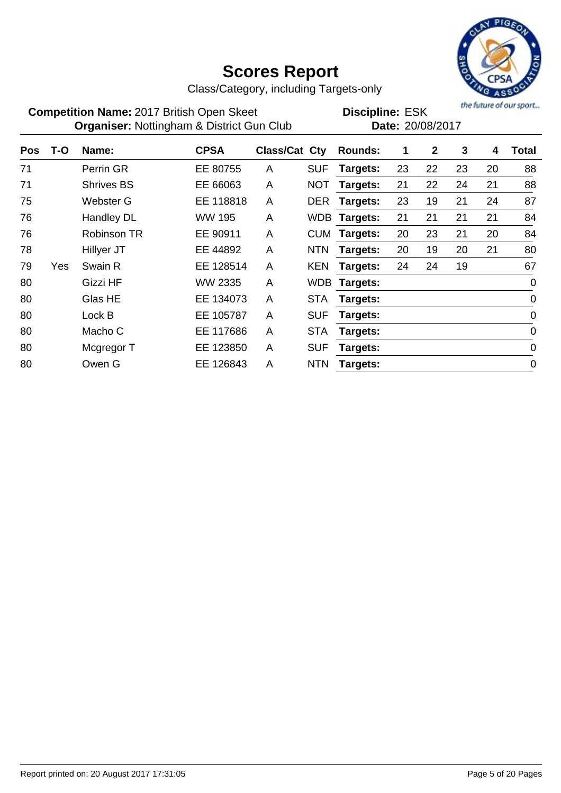

Class/Category, including Targets-only

**Competition Name:** 2017 British Open Skeet **EDIS** Discipline: ESK **Organiser:** Nottingham & District Gun Club **Date:** 20/08/2017

| <b>Pos</b> | T-O | Name:              | <b>CPSA</b>   | <b>Class/Cat Cty</b> |            | <b>Rounds:</b> | 1  | $\mathbf{2}$ | 3  | 4  | Total       |
|------------|-----|--------------------|---------------|----------------------|------------|----------------|----|--------------|----|----|-------------|
| 71         |     | Perrin GR          | EE 80755      | A                    | <b>SUF</b> | Targets:       | 23 | 22           | 23 | 20 | 88          |
| 71         |     | <b>Shrives BS</b>  | EE 66063      | A                    | <b>NOT</b> | Targets:       | 21 | 22           | 24 | 21 | 88          |
| 75         |     | Webster G          | EE 118818     | A                    | <b>DER</b> | Targets:       | 23 | 19           | 21 | 24 | 87          |
| 76         |     | Handley DL         | <b>WW 195</b> | A                    | WDB.       | Targets:       | 21 | 21           | 21 | 21 | 84          |
| 76         |     | <b>Robinson TR</b> | EE 90911      | A                    | <b>CUM</b> | Targets:       | 20 | 23           | 21 | 20 | 84          |
| 78         |     | Hillyer JT         | EE 44892      | A                    | <b>NTN</b> | Targets:       | 20 | 19           | 20 | 21 | 80          |
| 79         | Yes | Swain R            | EE 128514     | A                    | <b>KEN</b> | Targets:       | 24 | 24           | 19 |    | 67          |
| 80         |     | <b>Gizzi HF</b>    | WW 2335       | A                    | WDB.       | Targets:       |    |              |    |    | $\mathbf 0$ |
| 80         |     | Glas HE            | EE 134073     | A                    | <b>STA</b> | Targets:       |    |              |    |    | $\mathbf 0$ |
| 80         |     | Lock B             | EE 105787     | A                    | <b>SUF</b> | Targets:       |    |              |    |    | $\mathbf 0$ |
| 80         |     | Macho C            | EE 117686     | A                    | <b>STA</b> | Targets:       |    |              |    |    | $\mathbf 0$ |
| 80         |     | Mcgregor T         | EE 123850     | A                    | <b>SUF</b> | Targets:       |    |              |    |    | $\mathbf 0$ |
| 80         |     | Owen G             | EE 126843     | A                    | <b>NTN</b> | Targets:       |    |              |    |    | $\mathbf 0$ |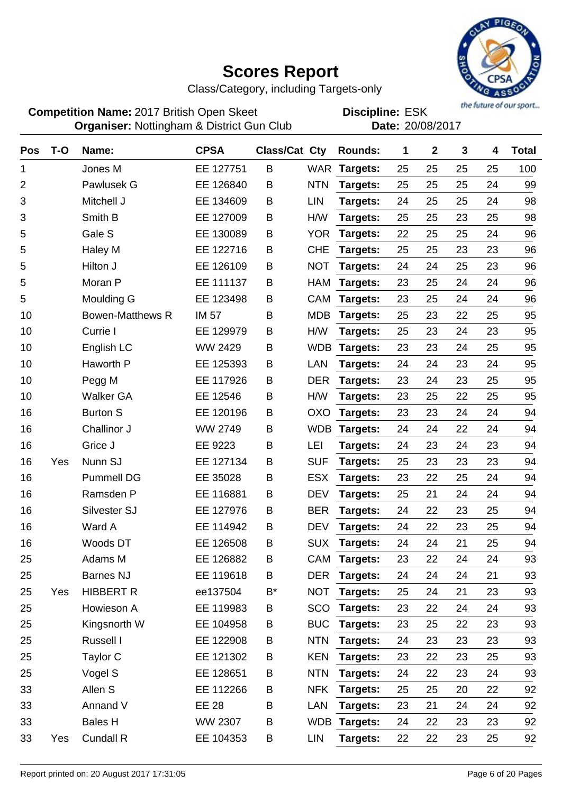

Class/Category, including Targets-only

**Competition Name:** 2017 British Open Skeet **EDIS** Discipline: ESK **Organiser:** Nottingham & District Gun Club **Date:** 20/08/2017

| Pos            | $T-O$ | Name:                   | <b>CPSA</b>  | <b>Class/Cat Cty</b> |            | Rounds:      | 1  | $\mathbf{2}$ | 3  | 4  | <b>Total</b> |
|----------------|-------|-------------------------|--------------|----------------------|------------|--------------|----|--------------|----|----|--------------|
| 1              |       | Jones M                 | EE 127751    | B                    | <b>WAR</b> | Targets:     | 25 | 25           | 25 | 25 | 100          |
| $\overline{2}$ |       | Pawlusek G              | EE 126840    | B                    | <b>NTN</b> | Targets:     | 25 | 25           | 25 | 24 | 99           |
| 3              |       | Mitchell J              | EE 134609    | B                    | <b>LIN</b> | Targets:     | 24 | 25           | 25 | 24 | 98           |
| 3              |       | Smith B                 | EE 127009    | B                    | H/W        | Targets:     | 25 | 25           | 23 | 25 | 98           |
| 5              |       | Gale S                  | EE 130089    | B                    | <b>YOR</b> | Targets:     | 22 | 25           | 25 | 24 | 96           |
| 5              |       | Haley M                 | EE 122716    | В                    | <b>CHE</b> | Targets:     | 25 | 25           | 23 | 23 | 96           |
| 5              |       | Hilton J                | EE 126109    | B                    | <b>NOT</b> | Targets:     | 24 | 24           | 25 | 23 | 96           |
| 5              |       | Moran P                 | EE 111137    | В                    | <b>HAM</b> | Targets:     | 23 | 25           | 24 | 24 | 96           |
| 5              |       | Moulding G              | EE 123498    | B                    | CAM        | Targets:     | 23 | 25           | 24 | 24 | 96           |
| 10             |       | <b>Bowen-Matthews R</b> | <b>IM 57</b> | B                    | <b>MDB</b> | Targets:     | 25 | 23           | 22 | 25 | 95           |
| 10             |       | Currie I                | EE 129979    | B                    | H/W        | Targets:     | 25 | 23           | 24 | 23 | 95           |
| 10             |       | English LC              | WW 2429      | B                    | <b>WDB</b> | Targets:     | 23 | 23           | 24 | 25 | 95           |
| 10             |       | Haworth P               | EE 125393    | B                    | LAN        | Targets:     | 24 | 24           | 23 | 24 | 95           |
| 10             |       | Pegg M                  | EE 117926    | B                    | <b>DER</b> | Targets:     | 23 | 24           | 23 | 25 | 95           |
| 10             |       | <b>Walker GA</b>        | EE 12546     | B                    | H/W        | Targets:     | 23 | 25           | 22 | 25 | 95           |
| 16             |       | <b>Burton S</b>         | EE 120196    | B                    | <b>OXO</b> | Targets:     | 23 | 23           | 24 | 24 | 94           |
| 16             |       | Challinor J             | WW 2749      | B                    | <b>WDB</b> | Targets:     | 24 | 24           | 22 | 24 | 94           |
| 16             |       | Grice J                 | EE 9223      | B                    | LEI        | Targets:     | 24 | 23           | 24 | 23 | 94           |
| 16             | Yes   | Nunn SJ                 | EE 127134    | B                    | <b>SUF</b> | Targets:     | 25 | 23           | 23 | 23 | 94           |
| 16             |       | <b>Pummell DG</b>       | EE 35028     | Β                    | <b>ESX</b> | Targets:     | 23 | 22           | 25 | 24 | 94           |
| 16             |       | Ramsden P               | EE 116881    | В                    | <b>DEV</b> | Targets:     | 25 | 21           | 24 | 24 | 94           |
| 16             |       | Silvester SJ            | EE 127976    | B                    | <b>BER</b> | Targets:     | 24 | 22           | 23 | 25 | 94           |
| 16             |       | Ward A                  | EE 114942    | B                    | <b>DEV</b> | Targets:     | 24 | 22           | 23 | 25 | 94           |
| 16             |       | Woods DT                | EE 126508    | B                    | <b>SUX</b> | Targets:     | 24 | 24           | 21 | 25 | 94           |
| 25             |       | Adams M                 | EE 126882    | B                    | <b>CAM</b> | Targets:     | 23 | 22           | 24 | 24 | 93           |
| 25             |       | <b>Barnes NJ</b>        | EE 119618    | B                    | DER        | Targets:     | 24 | 24           | 24 | 21 | 93           |
| 25             | Yes   | <b>HIBBERT R</b>        | ee137504     | B*                   | <b>NOT</b> | Targets:     | 25 | 24           | 21 | 23 | 93           |
| 25             |       | Howieson A              | EE 119983    | Β                    | SCO        | Targets:     | 23 | 22           | 24 | 24 | 93           |
| 25             |       | Kingsnorth W            | EE 104958    | Β                    | <b>BUC</b> | Targets:     | 23 | 25           | 22 | 23 | 93           |
| 25             |       | Russell I               | EE 122908    | Β                    | <b>NTN</b> | Targets:     | 24 | 23           | 23 | 23 | 93           |
| 25             |       | Taylor C                | EE 121302    | Β                    | <b>KEN</b> | Targets:     | 23 | 22           | 23 | 25 | 93           |
| 25             |       | Vogel S                 | EE 128651    | Β                    | <b>NTN</b> | Targets:     | 24 | 22           | 23 | 24 | 93           |
| 33             |       | Allen S                 | EE 112266    | B                    | <b>NFK</b> | Targets:     | 25 | 25           | 20 | 22 | 92           |
| 33             |       | Annand V                | <b>EE 28</b> | Β                    | LAN        | Targets:     | 23 | 21           | 24 | 24 | 92           |
| 33             |       | <b>Bales H</b>          | WW 2307      | Β                    |            | WDB Targets: | 24 | 22           | 23 | 23 | 92           |
| 33             | Yes   | <b>Cundall R</b>        | EE 104353    | B                    | LIN        | Targets:     | 22 | 22           | 23 | 25 | 92           |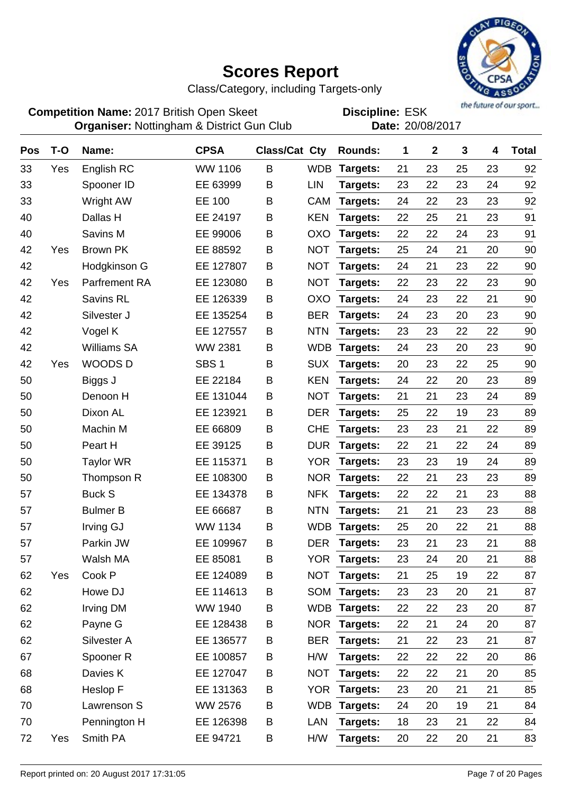

Class/Category, including Targets-only

**Competition Name:** 2017 British Open Skeet **EDIS** Discipline: ESK **Organiser:** Nottingham & District Gun Club **Date:** 20/08/2017

| <b>Pos</b> | $T-O$ | Name:                | <b>CPSA</b>      | <b>Class/Cat Cty</b> |            | <b>Rounds:</b>  | 1  | $\boldsymbol{2}$ | 3  | 4  | <b>Total</b> |
|------------|-------|----------------------|------------------|----------------------|------------|-----------------|----|------------------|----|----|--------------|
| 33         | Yes   | English RC           | <b>WW 1106</b>   | B                    | <b>WDB</b> | Targets:        | 21 | 23               | 25 | 23 | 92           |
| 33         |       | Spooner ID           | EE 63999         | B                    | <b>LIN</b> | Targets:        | 23 | 22               | 23 | 24 | 92           |
| 33         |       | Wright AW            | EE 100           | B                    | <b>CAM</b> | Targets:        | 24 | 22               | 23 | 23 | 92           |
| 40         |       | Dallas H             | EE 24197         | B                    | <b>KEN</b> | Targets:        | 22 | 25               | 21 | 23 | 91           |
| 40         |       | Savins M             | EE 99006         | B                    | OXO        | Targets:        | 22 | 22               | 24 | 23 | 91           |
| 42         | Yes   | <b>Brown PK</b>      | EE 88592         | B                    | <b>NOT</b> | Targets:        | 25 | 24               | 21 | 20 | 90           |
| 42         |       | Hodgkinson G         | EE 127807        | B                    | <b>NOT</b> | Targets:        | 24 | 21               | 23 | 22 | 90           |
| 42         | Yes   | Parfrement RA        | EE 123080        | B                    | <b>NOT</b> | Targets:        | 22 | 23               | 22 | 23 | 90           |
| 42         |       | Savins RL            | EE 126339        | B                    | <b>OXO</b> | Targets:        | 24 | 23               | 22 | 21 | 90           |
| 42         |       | Silvester J          | EE 135254        | B                    | <b>BER</b> | Targets:        | 24 | 23               | 20 | 23 | 90           |
| 42         |       | Vogel K              | EE 127557        | В                    | <b>NTN</b> | Targets:        | 23 | 23               | 22 | 22 | 90           |
| 42         |       | <b>Williams SA</b>   | <b>WW 2381</b>   | Β                    | <b>WDB</b> | Targets:        | 24 | 23               | 20 | 23 | 90           |
| 42         | Yes   | <b>WOODSD</b>        | SBS <sub>1</sub> | Β                    | <b>SUX</b> | Targets:        | 20 | 23               | 22 | 25 | 90           |
| 50         |       | Biggs J              | EE 22184         | B                    | <b>KEN</b> | Targets:        | 24 | 22               | 20 | 23 | 89           |
| 50         |       | Denoon H             | EE 131044        | B                    | <b>NOT</b> | Targets:        | 21 | 21               | 23 | 24 | 89           |
| 50         |       | Dixon AL             | EE 123921        | B                    | <b>DER</b> | Targets:        | 25 | 22               | 19 | 23 | 89           |
| 50         |       | Machin M             | EE 66809         | Β                    | <b>CHE</b> | Targets:        | 23 | 23               | 21 | 22 | 89           |
| 50         |       | Peart H              | EE 39125         | B                    | <b>DUR</b> | Targets:        | 22 | 21               | 22 | 24 | 89           |
| 50         |       | <b>Taylor WR</b>     | EE 115371        | B                    | YOR        | Targets:        | 23 | 23               | 19 | 24 | 89           |
| 50         |       | Thompson R           | EE 108300        | B                    | <b>NOR</b> | Targets:        | 22 | 21               | 23 | 23 | 89           |
| 57         |       | <b>Buck S</b>        | EE 134378        | B                    | <b>NFK</b> | Targets:        | 22 | 22               | 21 | 23 | 88           |
| 57         |       | <b>Bulmer B</b>      | EE 66687         | В                    | <b>NTN</b> | Targets:        | 21 | 21               | 23 | 23 | 88           |
| 57         |       | Irving GJ            | <b>WW 1134</b>   | B                    | <b>WDB</b> | Targets:        | 25 | 20               | 22 | 21 | 88           |
| 57         |       | Parkin JW            | EE 109967        | B                    | <b>DER</b> | Targets:        | 23 | 21               | 23 | 21 | 88           |
| 57         |       | Walsh MA             | EE 85081         | B                    | YOR        | Targets:        | 23 | 24               | 20 | 21 | 88           |
| 62         | Yes   | Cook P               | EE 124089        | B                    |            | NOT Targets:    | 21 | 25               | 19 | 22 | 87           |
| 62         |       | Howe DJ              | EE 114613        | B                    |            | SOM Targets:    | 23 | 23               | 20 | 21 | 87           |
| 62         |       | <b>Irving DM</b>     | WW 1940          | B                    |            | WDB Targets:    | 22 | 22               | 23 | 20 | 87           |
| 62         |       | Payne G              | EE 128438        | B                    |            | NOR Targets:    | 22 | 21               | 24 | 20 | 87           |
| 62         |       | Silvester A          | EE 136577        | B                    | <b>BER</b> | Targets:        | 21 | 22               | 23 | 21 | 87           |
| 67         |       | Spooner <sub>R</sub> | EE 100857        | B                    | H/W        | Targets:        | 22 | 22               | 22 | 20 | 86           |
| 68         |       | Davies K             | EE 127047        | B                    | <b>NOT</b> | Targets:        | 22 | 22               | 21 | 20 | 85           |
| 68         |       | Heslop F             | EE 131363        | B                    | <b>YOR</b> | <b>Targets:</b> | 23 | 20               | 21 | 21 | 85           |
| 70         |       | Lawrenson S          | <b>WW 2576</b>   | B                    |            | WDB Targets:    | 24 | 20               | 19 | 21 | 84           |
| 70         |       | Pennington H         | EE 126398        | B                    | LAN        | Targets:        | 18 | 23               | 21 | 22 | 84           |
| 72         | Yes   | Smith PA             | EE 94721         | B                    | H/W        | Targets:        | 20 | 22               | 20 | 21 | 83           |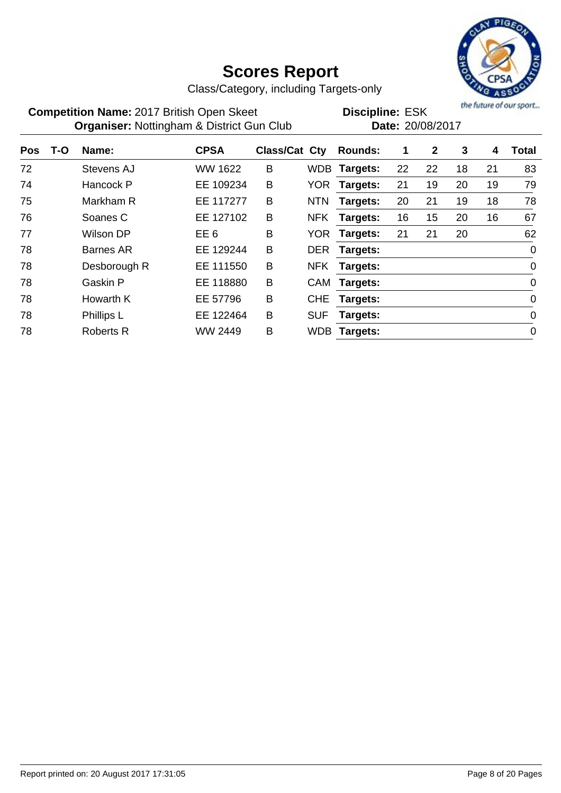

Class/Category, including Targets-only

| <b>Competition Name: 2017 British Open Skeet</b>     | <b>Discipline: ESK</b> |
|------------------------------------------------------|------------------------|
| <b>Organiser: Nottingham &amp; District Gun Club</b> | Date: 20/08/2017       |

**Discipline:**

| <b>Pos</b> | T-O | Name:            | <b>CPSA</b>     | <b>Class/Cat Cty</b> |            | <b>Rounds:</b> | 1  | $\mathbf{2}$ | 3  | 4  | <b>Total</b>   |
|------------|-----|------------------|-----------------|----------------------|------------|----------------|----|--------------|----|----|----------------|
| 72         |     | Stevens AJ       | WW 1622         | B                    | WDB        | Targets:       | 22 | 22           | 18 | 21 | 83             |
| 74         |     | Hancock P        | EE 109234       | B                    | <b>YOR</b> | Targets:       | 21 | 19           | 20 | 19 | 79             |
| 75         |     | Markham R        | EE 117277       | B                    | <b>NTN</b> | Targets:       | 20 | 21           | 19 | 18 | 78             |
| 76         |     | Soanes C         | EE 127102       | B                    | <b>NFK</b> | Targets:       | 16 | 15           | 20 | 16 | 67             |
| 77         |     | Wilson DP        | EE <sub>6</sub> | B                    | <b>YOR</b> | Targets:       | 21 | 21           | 20 |    | 62             |
| 78         |     | Barnes AR        | EE 129244       | B                    | <b>DER</b> | Targets:       |    |              |    |    | $\overline{0}$ |
| 78         |     | Desborough R     | EE 111550       | B                    | <b>NFK</b> | Targets:       |    |              |    |    | $\mathbf 0$    |
| 78         |     | Gaskin P         | EE 118880       | B                    | CAM        | Targets:       |    |              |    |    | $\mathbf 0$    |
| 78         |     | Howarth K        | EE 57796        | B                    | <b>CHE</b> | Targets:       |    |              |    |    | $\mathbf 0$    |
| 78         |     | Phillips L       | EE 122464       | B                    | <b>SUF</b> | Targets:       |    |              |    |    | $\mathbf 0$    |
| 78         |     | <b>Roberts R</b> | WW 2449         | B                    | <b>WDB</b> | Targets:       |    |              |    |    | $\mathbf 0$    |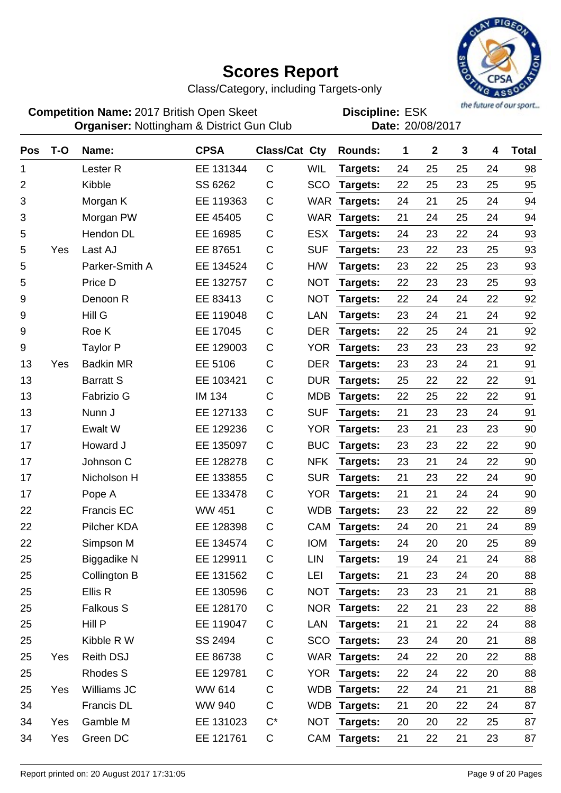

Class/Category, including Targets-only

**Competition Name:** 2017 British Open Skeet **EDIS** Discipline: ESK **Organiser:** Nottingham & District Gun Club **Date:** 20/08/2017

| <b>Pos</b> | $T-O$ | Name:               | <b>CPSA</b>   | Class/Cat Cty |            | <b>Rounds:</b>  | 1  | $\mathbf 2$ | 3  | 4  | <b>Total</b> |
|------------|-------|---------------------|---------------|---------------|------------|-----------------|----|-------------|----|----|--------------|
| 1          |       | Lester <sub>R</sub> | EE 131344     | $\mathsf C$   | <b>WIL</b> | Targets:        | 24 | 25          | 25 | 24 | 98           |
| 2          |       | Kibble              | SS 6262       | $\mathsf C$   | <b>SCO</b> | Targets:        | 22 | 25          | 23 | 25 | 95           |
| 3          |       | Morgan K            | EE 119363     | $\mathsf C$   | <b>WAR</b> | Targets:        | 24 | 21          | 25 | 24 | 94           |
| 3          |       | Morgan PW           | EE 45405      | $\mathsf C$   | WAR        | Targets:        | 21 | 24          | 25 | 24 | 94           |
| 5          |       | Hendon DL           | EE 16985      | C             | <b>ESX</b> | Targets:        | 24 | 23          | 22 | 24 | 93           |
| 5          | Yes   | Last AJ             | EE 87651      | $\mathsf C$   | <b>SUF</b> | Targets:        | 23 | 22          | 23 | 25 | 93           |
| 5          |       | Parker-Smith A      | EE 134524     | $\mathsf C$   | H/W        | Targets:        | 23 | 22          | 25 | 23 | 93           |
| 5          |       | Price D             | EE 132757     | $\mathsf C$   | <b>NOT</b> | Targets:        | 22 | 23          | 23 | 25 | 93           |
| 9          |       | Denoon R            | EE 83413      | C             | <b>NOT</b> | Targets:        | 22 | 24          | 24 | 22 | 92           |
| 9          |       | Hill G              | EE 119048     | C             | LAN        | Targets:        | 23 | 24          | 21 | 24 | 92           |
| 9          |       | Roe K               | EE 17045      | $\mathsf C$   | <b>DER</b> | Targets:        | 22 | 25          | 24 | 21 | 92           |
| 9          |       | <b>Taylor P</b>     | EE 129003     | C             | <b>YOR</b> | Targets:        | 23 | 23          | 23 | 23 | 92           |
| 13         | Yes   | <b>Badkin MR</b>    | EE 5106       | C             | <b>DER</b> | Targets:        | 23 | 23          | 24 | 21 | 91           |
| 13         |       | <b>Barratt S</b>    | EE 103421     | C             | <b>DUR</b> | Targets:        | 25 | 22          | 22 | 22 | 91           |
| 13         |       | <b>Fabrizio G</b>   | <b>IM 134</b> | $\mathsf C$   | <b>MDB</b> | Targets:        | 22 | 25          | 22 | 22 | 91           |
| 13         |       | Nunn J              | EE 127133     | $\mathsf C$   | <b>SUF</b> | Targets:        | 21 | 23          | 23 | 24 | 91           |
| 17         |       | Ewalt W             | EE 129236     | C             | <b>YOR</b> | Targets:        | 23 | 21          | 23 | 23 | 90           |
| 17         |       | Howard J            | EE 135097     | C             | <b>BUC</b> | Targets:        | 23 | 23          | 22 | 22 | 90           |
| 17         |       | Johnson C           | EE 128278     | C             | <b>NFK</b> | Targets:        | 23 | 21          | 24 | 22 | 90           |
| 17         |       | Nicholson H         | EE 133855     | $\mathsf C$   | <b>SUR</b> | Targets:        | 21 | 23          | 22 | 24 | 90           |
| 17         |       | Pope A              | EE 133478     | C             | YOR        | Targets:        | 21 | 21          | 24 | 24 | 90           |
| 22         |       | <b>Francis EC</b>   | <b>WW 451</b> | C             | <b>WDB</b> | Targets:        | 23 | 22          | 22 | 22 | 89           |
| 22         |       | <b>Pilcher KDA</b>  | EE 128398     | $\mathsf C$   | CAM        | Targets:        | 24 | 20          | 21 | 24 | 89           |
| 22         |       | Simpson M           | EE 134574     | C             | <b>IOM</b> | Targets:        | 24 | 20          | 20 | 25 | 89           |
| 25         |       | Biggadike N         | EE 129911     | C             | LIN        | <b>Targets:</b> | 19 | 24          | 21 | 24 | 88           |
| 25         |       | Collington B        | EE 131562     | C             | LEI        | Targets:        | 21 | 23          | 24 | 20 | 88           |
| 25         |       | Ellis R             | EE 130596     | C             | <b>NOT</b> | Targets:        | 23 | 23          | 21 | 21 | 88           |
| 25         |       | <b>Falkous S</b>    | EE 128170     | $\mathsf C$   |            | NOR Targets:    | 22 | 21          | 23 | 22 | 88           |
| 25         |       | Hill P              | EE 119047     | C             | LAN        | <b>Targets:</b> | 21 | 21          | 22 | 24 | 88           |
| 25         |       | Kibble R W          | SS 2494       | C             |            | SCO Targets:    | 23 | 24          | 20 | 21 | 88           |
| 25         | Yes   | <b>Reith DSJ</b>    | EE 86738      | C             |            | WAR Targets:    | 24 | 22          | 20 | 22 | 88           |
| 25         |       | <b>Rhodes S</b>     | EE 129781     | C             |            | YOR Targets:    | 22 | 24          | 22 | 20 | 88           |
| 25         | Yes   | Williams JC         | WW 614        | C             |            | WDB Targets:    | 22 | 24          | 21 | 21 | 88           |
| 34         |       | Francis DL          | <b>WW 940</b> | C             |            | WDB Targets:    | 21 | 20          | 22 | 24 | 87           |
| 34         | Yes   | Gamble M            | EE 131023     | $C^*$         |            | NOT Targets:    | 20 | 20          | 22 | 25 | 87           |
| 34         | Yes   | Green DC            | EE 121761     | C             |            | CAM Targets:    | 21 | 22          | 21 | 23 | 87           |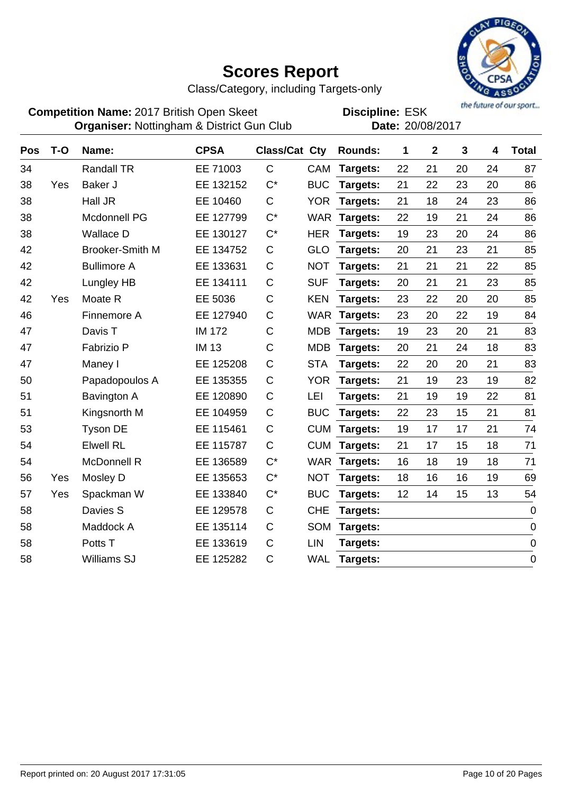

Class/Category, including Targets-only

**Competition Name:** 2017 British Open Skeet **EDIS** Discipline: ESK **Organiser:** Nottingham & District Gun Club **Date:** 20/08/2017

| Pos | T-O | Name:                  | <b>CPSA</b>   | Class/Cat Cty |            | <b>Rounds:</b> | 1  | $\mathbf{2}$ | 3  | 4  | <b>Total</b>     |
|-----|-----|------------------------|---------------|---------------|------------|----------------|----|--------------|----|----|------------------|
| 34  |     | <b>Randall TR</b>      | EE 71003      | $\mathsf{C}$  | <b>CAM</b> | Targets:       | 22 | 21           | 20 | 24 | 87               |
| 38  | Yes | Baker J                | EE 132152     | $C^*$         | <b>BUC</b> | Targets:       | 21 | 22           | 23 | 20 | 86               |
| 38  |     | Hall JR                | EE 10460      | $\mathsf C$   | <b>YOR</b> | Targets:       | 21 | 18           | 24 | 23 | 86               |
| 38  |     | Mcdonnell PG           | EE 127799     | $C^*$         | <b>WAR</b> | Targets:       | 22 | 19           | 21 | 24 | 86               |
| 38  |     | <b>Wallace D</b>       | EE 130127     | $C^*$         | <b>HER</b> | Targets:       | 19 | 23           | 20 | 24 | 86               |
| 42  |     | <b>Brooker-Smith M</b> | EE 134752     | $\mathsf C$   | <b>GLO</b> | Targets:       | 20 | 21           | 23 | 21 | 85               |
| 42  |     | <b>Bullimore A</b>     | EE 133631     | $\mathsf C$   | <b>NOT</b> | Targets:       | 21 | 21           | 21 | 22 | 85               |
| 42  |     | Lungley HB             | EE 134111     | $\mathsf C$   | <b>SUF</b> | Targets:       | 20 | 21           | 21 | 23 | 85               |
| 42  | Yes | Moate R                | EE 5036       | $\mathsf C$   | <b>KEN</b> | Targets:       | 23 | 22           | 20 | 20 | 85               |
| 46  |     | Finnemore A            | EE 127940     | $\mathsf C$   | <b>WAR</b> | Targets:       | 23 | 20           | 22 | 19 | 84               |
| 47  |     | Davis T                | <b>IM 172</b> | $\mathsf C$   | <b>MDB</b> | Targets:       | 19 | 23           | 20 | 21 | 83               |
| 47  |     | Fabrizio P             | <b>IM 13</b>  | $\mathsf C$   | <b>MDB</b> | Targets:       | 20 | 21           | 24 | 18 | 83               |
| 47  |     | Maney I                | EE 125208     | $\mathsf C$   | <b>STA</b> | Targets:       | 22 | 20           | 20 | 21 | 83               |
| 50  |     | Papadopoulos A         | EE 135355     | $\mathsf C$   | <b>YOR</b> | Targets:       | 21 | 19           | 23 | 19 | 82               |
| 51  |     | Bavington A            | EE 120890     | $\mathsf C$   | LEI        | Targets:       | 21 | 19           | 19 | 22 | 81               |
| 51  |     | Kingsnorth M           | EE 104959     | $\mathsf C$   | <b>BUC</b> | Targets:       | 22 | 23           | 15 | 21 | 81               |
| 53  |     | <b>Tyson DE</b>        | EE 115461     | $\mathsf C$   | <b>CUM</b> | Targets:       | 19 | 17           | 17 | 21 | 74               |
| 54  |     | <b>Elwell RL</b>       | EE 115787     | $\mathsf C$   | <b>CUM</b> | Targets:       | 21 | 17           | 15 | 18 | 71               |
| 54  |     | <b>McDonnell R</b>     | EE 136589     | $C^*$         | <b>WAR</b> | Targets:       | 16 | 18           | 19 | 18 | 71               |
| 56  | Yes | Mosley D               | EE 135653     | $C^*$         | <b>NOT</b> | Targets:       | 18 | 16           | 16 | 19 | 69               |
| 57  | Yes | Spackman W             | EE 133840     | $C^*$         | <b>BUC</b> | Targets:       | 12 | 14           | 15 | 13 | 54               |
| 58  |     | Davies S               | EE 129578     | $\mathsf C$   | <b>CHE</b> | Targets:       |    |              |    |    | $\mathbf 0$      |
| 58  |     | Maddock A              | EE 135114     | $\mathsf C$   | <b>SOM</b> | Targets:       |    |              |    |    | $\boldsymbol{0}$ |
| 58  |     | Potts T                | EE 133619     | $\mathsf C$   | LIN        | Targets:       |    |              |    |    | $\mathbf 0$      |
| 58  |     | <b>Williams SJ</b>     | EE 125282     | $\mathsf C$   | <b>WAL</b> | Targets:       |    |              |    |    | $\boldsymbol{0}$ |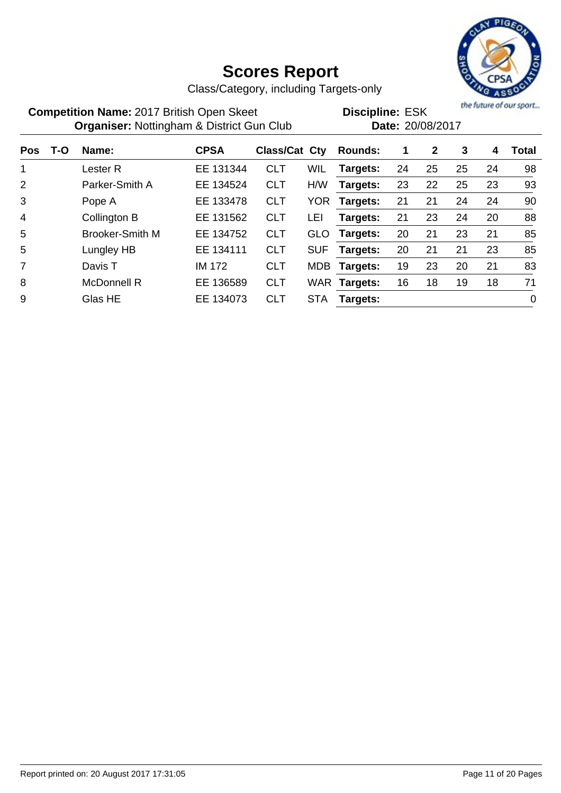

Class/Category, including Targets-only

| <b>Competition Name: 2017 British Open Skeet</b>     | <b>Discipline: ESK</b> |
|------------------------------------------------------|------------------------|
| <b>Organiser: Nottingham &amp; District Gun Club</b> | Date: 20/08/2017       |

the future of our sport...

|                |     | ັ<br>ັ                 |               |               |            |                |    |              |    |    |             |
|----------------|-----|------------------------|---------------|---------------|------------|----------------|----|--------------|----|----|-------------|
| <b>Pos</b>     | T-O | Name:                  | <b>CPSA</b>   | Class/Cat Cty |            | <b>Rounds:</b> | 1  | $\mathbf{2}$ | 3  | 4  | Total       |
| 1              |     | Lester R               | EE 131344     | <b>CLT</b>    | <b>WIL</b> | Targets:       | 24 | 25           | 25 | 24 | 98          |
| 2              |     | Parker-Smith A         | EE 134524     | <b>CLT</b>    | H/W        | Targets:       | 23 | 22           | 25 | 23 | 93          |
| 3              |     | Pope A                 | EE 133478     | <b>CLT</b>    | YOR.       | Targets:       | 21 | 21           | 24 | 24 | 90          |
| $\overline{4}$ |     | Collington B           | EE 131562     | <b>CLT</b>    | LEI        | Targets:       | 21 | 23           | 24 | 20 | 88          |
| 5              |     | <b>Brooker-Smith M</b> | EE 134752     | <b>CLT</b>    | <b>GLO</b> | Targets:       | 20 | 21           | 23 | 21 | 85          |
| 5              |     | Lungley HB             | EE 134111     | <b>CLT</b>    | <b>SUF</b> | Targets:       | 20 | 21           | 21 | 23 | 85          |
| $\overline{7}$ |     | Davis T                | <b>IM 172</b> | <b>CLT</b>    | <b>MDB</b> | Targets:       | 19 | 23           | 20 | 21 | 83          |
| 8              |     | <b>McDonnell R</b>     | EE 136589     | <b>CLT</b>    |            | WAR Targets:   | 16 | 18           | 19 | 18 | 71          |
| 9              |     | Glas HE                | EE 134073     | <b>CLT</b>    | <b>STA</b> | Targets:       |    |              |    |    | $\mathbf 0$ |
|                |     |                        |               |               |            |                |    |              |    |    |             |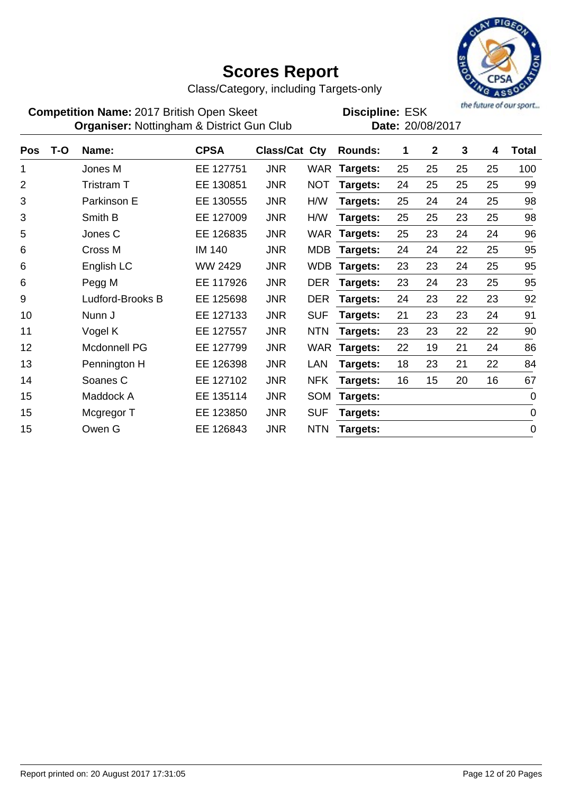

Class/Category, including Targets-only

**Competition Name:** 2017 British Open Skeet **EDIS** Discipline: ESK **Organiser:** Nottingham & District Gun Club **Date:** 20/08/2017

| <b>Pos</b>     | T-O | Name:               | <b>CPSA</b>   | Class/Cat Cty |            | <b>Rounds:</b> | 1  | $\mathbf{2}$ | 3  | 4  | <b>Total</b>   |
|----------------|-----|---------------------|---------------|---------------|------------|----------------|----|--------------|----|----|----------------|
| 1              |     | Jones M             | EE 127751     | <b>JNR</b>    |            | WAR Targets:   | 25 | 25           | 25 | 25 | 100            |
| $\overline{2}$ |     | Tristram T          | 130851<br>EE. | <b>JNR</b>    | <b>NOT</b> | Targets:       | 24 | 25           | 25 | 25 | 99             |
| 3              |     | Parkinson E         | 130555<br>EE. | <b>JNR</b>    | H/W        | Targets:       | 25 | 24           | 24 | 25 | 98             |
| 3              |     | Smith B             | EE 127009     | <b>JNR</b>    | H/W        | Targets:       | 25 | 25           | 23 | 25 | 98             |
| 5              |     | Jones C             | EE 126835     | <b>JNR</b>    | WAR        | Targets:       | 25 | 23           | 24 | 24 | 96             |
| 6              |     | Cross M             | <b>IM 140</b> | <b>JNR</b>    | MDB        | Targets:       | 24 | 24           | 22 | 25 | 95             |
| 6              |     | English LC          | WW 2429       | <b>JNR</b>    | WDB        | Targets:       | 23 | 23           | 24 | 25 | 95             |
| 6              |     | Pegg M              | EE 117926     | <b>JNR</b>    | <b>DER</b> | Targets:       | 23 | 24           | 23 | 25 | 95             |
| 9              |     | Ludford-Brooks B    | 125698<br>EE. | <b>JNR</b>    | <b>DER</b> | Targets:       | 24 | 23           | 22 | 23 | 92             |
| 10             |     | Nunn J              | EE 127133     | <b>JNR</b>    | <b>SUF</b> | Targets:       | 21 | 23           | 23 | 24 | 91             |
| 11             |     | Vogel K             | EE 127557     | <b>JNR</b>    | <b>NTN</b> | Targets:       | 23 | 23           | 22 | 22 | 90             |
| 12             |     | <b>Mcdonnell PG</b> | EE 127799     | <b>JNR</b>    | WAR        | Targets:       | 22 | 19           | 21 | 24 | 86             |
| 13             |     | Pennington H        | EE.<br>126398 | <b>JNR</b>    | <b>LAN</b> | Targets:       | 18 | 23           | 21 | 22 | 84             |
| 14             |     | Soanes C            | 127102<br>EE. | <b>JNR</b>    | <b>NFK</b> | Targets:       | 16 | 15           | 20 | 16 | 67             |
| 15             |     | Maddock A           | EE 135114     | <b>JNR</b>    | <b>SOM</b> | Targets:       |    |              |    |    | $\overline{0}$ |
| 15             |     | Mcgregor T          | 123850<br>EE. | <b>JNR</b>    | <b>SUF</b> | Targets:       |    |              |    |    | $\mathbf 0$    |
| 15             |     | Owen G              | 126843<br>EE. | <b>JNR</b>    | <b>NTN</b> | Targets:       |    |              |    |    | $\overline{0}$ |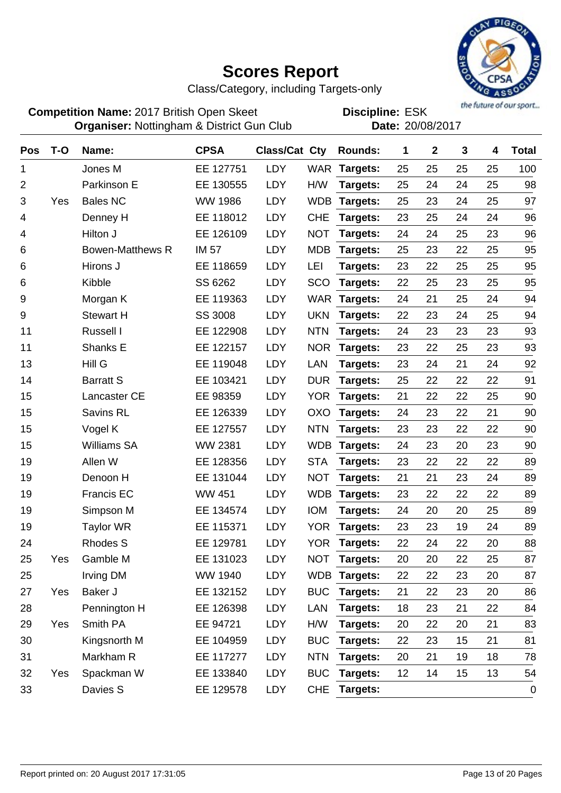

Class/Category, including Targets-only

**Competition Name:** 2017 British Open Skeet **EDIS** Discipline: ESK **Organiser:** Nottingham & District Gun Club **Date:** 20/08/2017

| <b>Pos</b>     | $T-O$ | Name:                   | <b>CPSA</b>    | <b>Class/Cat Cty</b> |            | <b>Rounds:</b>  | 1  | $\mathbf{2}$ | 3  | 4  | <b>Total</b> |
|----------------|-------|-------------------------|----------------|----------------------|------------|-----------------|----|--------------|----|----|--------------|
| 1              |       | Jones M                 | EE 127751      | <b>LDY</b>           | <b>WAR</b> | Targets:        | 25 | 25           | 25 | 25 | 100          |
| $\overline{2}$ |       | Parkinson E             | EE 130555      | <b>LDY</b>           | H/W        | Targets:        | 25 | 24           | 24 | 25 | 98           |
| 3              | Yes   | <b>Bales NC</b>         | <b>WW 1986</b> | LDY                  | <b>WDB</b> | Targets:        | 25 | 23           | 24 | 25 | 97           |
| 4              |       | Denney H                | EE 118012      | LDY                  | <b>CHE</b> | Targets:        | 23 | 25           | 24 | 24 | 96           |
| 4              |       | Hilton J                | EE 126109      | <b>LDY</b>           | <b>NOT</b> | Targets:        | 24 | 24           | 25 | 23 | 96           |
| 6              |       | <b>Bowen-Matthews R</b> | <b>IM 57</b>   | LDY                  | <b>MDB</b> | Targets:        | 25 | 23           | 22 | 25 | 95           |
| 6              |       | Hirons J                | EE 118659      | <b>LDY</b>           | LEI        | Targets:        | 23 | 22           | 25 | 25 | 95           |
| 6              |       | Kibble                  | SS 6262        | LDY                  | <b>SCO</b> | Targets:        | 22 | 25           | 23 | 25 | 95           |
| 9              |       | Morgan K                | EE 119363      | <b>LDY</b>           | <b>WAR</b> | Targets:        | 24 | 21           | 25 | 24 | 94           |
| 9              |       | <b>Stewart H</b>        | <b>SS 3008</b> | LDY                  | <b>UKN</b> | Targets:        | 22 | 23           | 24 | 25 | 94           |
| 11             |       | Russell I               | EE 122908      | LDY                  | <b>NTN</b> | Targets:        | 24 | 23           | 23 | 23 | 93           |
| 11             |       | Shanks E                | EE 122157      | LDY                  | <b>NOR</b> | Targets:        | 23 | 22           | 25 | 23 | 93           |
| 13             |       | Hill G                  | EE 119048      | LDY                  | LAN        | Targets:        | 23 | 24           | 21 | 24 | 92           |
| 14             |       | <b>Barratt S</b>        | EE 103421      | <b>LDY</b>           | <b>DUR</b> | Targets:        | 25 | 22           | 22 | 22 | 91           |
| 15             |       | Lancaster CE            | EE 98359       | LDY                  | <b>YOR</b> | Targets:        | 21 | 22           | 22 | 25 | 90           |
| 15             |       | Savins RL               | EE 126339      | LDY                  | <b>OXO</b> | Targets:        | 24 | 23           | 22 | 21 | 90           |
| 15             |       | Vogel K                 | EE 127557      | LDY                  | <b>NTN</b> | Targets:        | 23 | 23           | 22 | 22 | 90           |
| 15             |       | <b>Williams SA</b>      | <b>WW 2381</b> | <b>LDY</b>           | <b>WDB</b> | Targets:        | 24 | 23           | 20 | 23 | 90           |
| 19             |       | Allen W                 | EE 128356      | <b>LDY</b>           | <b>STA</b> | Targets:        | 23 | 22           | 22 | 22 | 89           |
| 19             |       | Denoon H                | EE 131044      | LDY                  | <b>NOT</b> | Targets:        | 21 | 21           | 23 | 24 | 89           |
| 19             |       | <b>Francis EC</b>       | <b>WW 451</b>  | LDY                  | <b>WDB</b> | <b>Targets:</b> | 23 | 22           | 22 | 22 | 89           |
| 19             |       | Simpson M               | EE 134574      | LDY                  | <b>IOM</b> | Targets:        | 24 | 20           | 20 | 25 | 89           |
| 19             |       | <b>Taylor WR</b>        | EE 115371      | LDY                  | <b>YOR</b> | Targets:        | 23 | 23           | 19 | 24 | 89           |
| 24             |       | <b>Rhodes S</b>         | EE 129781      | LDY                  | <b>YOR</b> | Targets:        | 22 | 24           | 22 | 20 | 88           |
| 25             | Yes   | Gamble M                | EE 131023      | LDY                  | <b>NOT</b> | Targets:        | 20 | 20           | 22 | 25 | 87           |
| 25             |       | Irving DM               | WW 1940        | LDY                  |            | WDB Targets:    | 22 | 22           | 23 | 20 | 87           |
| 27             | Yes   | Baker J                 | EE 132152      | LDY                  | <b>BUC</b> | Targets:        | 21 | 22           | 23 | 20 | 86           |
| 28             |       | Pennington H            | EE 126398      | <b>LDY</b>           | LAN        | Targets:        | 18 | 23           | 21 | 22 | 84           |
| 29             | Yes   | Smith PA                | EE 94721       | LDY                  | H/W        | Targets:        | 20 | 22           | 20 | 21 | 83           |
| 30             |       | Kingsnorth M            | EE 104959      | LDY                  | <b>BUC</b> | Targets:        | 22 | 23           | 15 | 21 | 81           |
| 31             |       | Markham R               | EE 117277      | LDY                  | <b>NTN</b> | Targets:        | 20 | 21           | 19 | 18 | 78           |
| 32             | Yes   | Spackman W              | EE 133840      | LDY                  | <b>BUC</b> | Targets:        | 12 | 14           | 15 | 13 | 54           |
| 33             |       | Davies S                | EE 129578      | LDY                  | <b>CHE</b> | Targets:        |    |              |    |    | $\pmb{0}$    |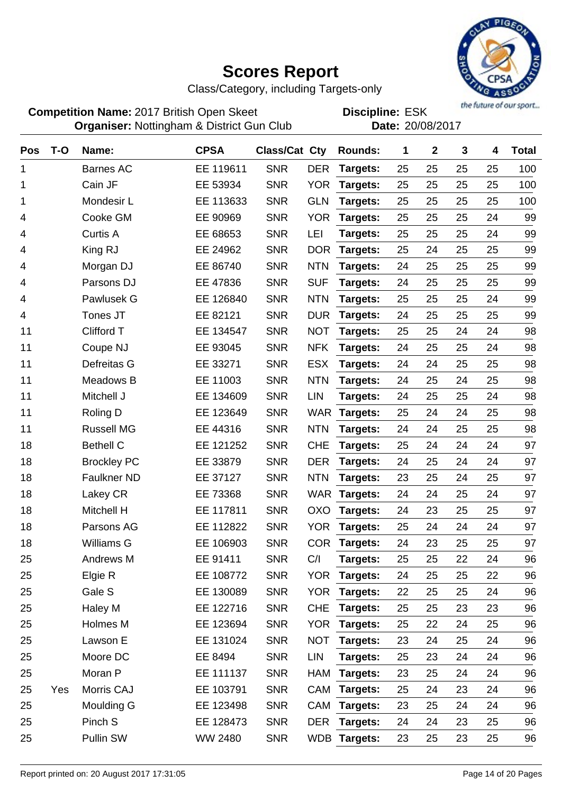

Class/Category, including Targets-only

**Competition Name:** 2017 British Open Skeet **EDIS** Discipline: ESK **Organiser:** Nottingham & District Gun Club **Date:** 20/08/2017

| Pos | $T-O$ | Name:              | <b>CPSA</b> | Class/Cat Cty |            | <b>Rounds:</b> | 1  | $\mathbf{2}$ | 3  | 4  | <b>Total</b> |
|-----|-------|--------------------|-------------|---------------|------------|----------------|----|--------------|----|----|--------------|
| 1   |       | <b>Barnes AC</b>   | EE 119611   | <b>SNR</b>    | <b>DER</b> | Targets:       | 25 | 25           | 25 | 25 | 100          |
| 1   |       | Cain JF            | EE 53934    | <b>SNR</b>    | <b>YOR</b> | Targets:       | 25 | 25           | 25 | 25 | 100          |
| 1   |       | Mondesir L         | EE 113633   | <b>SNR</b>    | <b>GLN</b> | Targets:       | 25 | 25           | 25 | 25 | 100          |
| 4   |       | Cooke GM           | EE 90969    | <b>SNR</b>    | <b>YOR</b> | Targets:       | 25 | 25           | 25 | 24 | 99           |
| 4   |       | <b>Curtis A</b>    | EE 68653    | <b>SNR</b>    | LEI        | Targets:       | 25 | 25           | 25 | 24 | 99           |
| 4   |       | King RJ            | EE 24962    | <b>SNR</b>    | <b>DOR</b> | Targets:       | 25 | 24           | 25 | 25 | 99           |
| 4   |       | Morgan DJ          | EE 86740    | <b>SNR</b>    | <b>NTN</b> | Targets:       | 24 | 25           | 25 | 25 | 99           |
| 4   |       | Parsons DJ         | EE 47836    | <b>SNR</b>    | <b>SUF</b> | Targets:       | 24 | 25           | 25 | 25 | 99           |
| 4   |       | Pawlusek G         | EE 126840   | <b>SNR</b>    | <b>NTN</b> | Targets:       | 25 | 25           | 25 | 24 | 99           |
| 4   |       | Tones JT           | EE 82121    | <b>SNR</b>    | <b>DUR</b> | Targets:       | 24 | 25           | 25 | 25 | 99           |
| 11  |       | Clifford T         | EE 134547   | <b>SNR</b>    | <b>NOT</b> | Targets:       | 25 | 25           | 24 | 24 | 98           |
| 11  |       | Coupe NJ           | EE 93045    | <b>SNR</b>    | <b>NFK</b> | Targets:       | 24 | 25           | 25 | 24 | 98           |
| 11  |       | Defreitas G        | EE 33271    | <b>SNR</b>    | <b>ESX</b> | Targets:       | 24 | 24           | 25 | 25 | 98           |
| 11  |       | Meadows B          | EE 11003    | <b>SNR</b>    | <b>NTN</b> | Targets:       | 24 | 25           | 24 | 25 | 98           |
| 11  |       | Mitchell J         | EE 134609   | <b>SNR</b>    | LIN        | Targets:       | 24 | 25           | 25 | 24 | 98           |
| 11  |       | Roling D           | EE 123649   | <b>SNR</b>    | <b>WAR</b> | Targets:       | 25 | 24           | 24 | 25 | 98           |
| 11  |       | <b>Russell MG</b>  | EE 44316    | <b>SNR</b>    | <b>NTN</b> | Targets:       | 24 | 24           | 25 | 25 | 98           |
| 18  |       | <b>Bethell C</b>   | EE 121252   | <b>SNR</b>    | <b>CHE</b> | Targets:       | 25 | 24           | 24 | 24 | 97           |
| 18  |       | <b>Brockley PC</b> | EE 33879    | <b>SNR</b>    | <b>DER</b> | Targets:       | 24 | 25           | 24 | 24 | 97           |
| 18  |       | <b>Faulkner ND</b> | EE 37127    | <b>SNR</b>    | <b>NTN</b> | Targets:       | 23 | 25           | 24 | 25 | 97           |
| 18  |       | Lakey CR           | EE 73368    | <b>SNR</b>    | <b>WAR</b> | Targets:       | 24 | 24           | 25 | 24 | 97           |
| 18  |       | Mitchell H         | EE 117811   | <b>SNR</b>    | <b>OXO</b> | Targets:       | 24 | 23           | 25 | 25 | 97           |
| 18  |       | Parsons AG         | EE 112822   | <b>SNR</b>    | <b>YOR</b> | Targets:       | 25 | 24           | 24 | 24 | 97           |
| 18  |       | Williams G         | EE 106903   | <b>SNR</b>    | <b>COR</b> | Targets:       | 24 | 23           | 25 | 25 | 97           |
| 25  |       | Andrews M          | EE 91411    | <b>SNR</b>    | C/I        | Targets:       | 25 | 25           | 22 | 24 | 96           |
| 25  |       | Elgie R            | EE 108772   | <b>SNR</b>    | <b>YOR</b> | Targets:       | 24 | 25           | 25 | 22 | 96           |
| 25  |       | Gale S             | EE 130089   | <b>SNR</b>    | <b>YOR</b> | Targets:       | 22 | 25           | 25 | 24 | 96           |
| 25  |       | Haley M            | EE 122716   | <b>SNR</b>    | <b>CHE</b> | Targets:       | 25 | 25           | 23 | 23 | 96           |
| 25  |       | Holmes M           | EE 123694   | <b>SNR</b>    | <b>YOR</b> | Targets:       | 25 | 22           | 24 | 25 | 96           |
| 25  |       | Lawson E           | EE 131024   | <b>SNR</b>    | <b>NOT</b> | Targets:       | 23 | 24           | 25 | 24 | 96           |
| 25  |       | Moore DC           | EE 8494     | <b>SNR</b>    | LIN        | Targets:       | 25 | 23           | 24 | 24 | 96           |
| 25  |       | Moran P            | EE 111137   | <b>SNR</b>    | HAM        | Targets:       | 23 | 25           | 24 | 24 | 96           |
| 25  | Yes   | Morris CAJ         | EE 103791   | <b>SNR</b>    | CAM        | Targets:       | 25 | 24           | 23 | 24 | 96           |
| 25  |       | Moulding G         | EE 123498   | <b>SNR</b>    | CAM        | Targets:       | 23 | 25           | 24 | 24 | 96           |
| 25  |       | Pinch S            | EE 128473   | <b>SNR</b>    | <b>DER</b> | Targets:       | 24 | 24           | 23 | 25 | 96           |
| 25  |       | Pullin SW          | WW 2480     | <b>SNR</b>    |            | WDB Targets:   | 23 | 25           | 23 | 25 | 96           |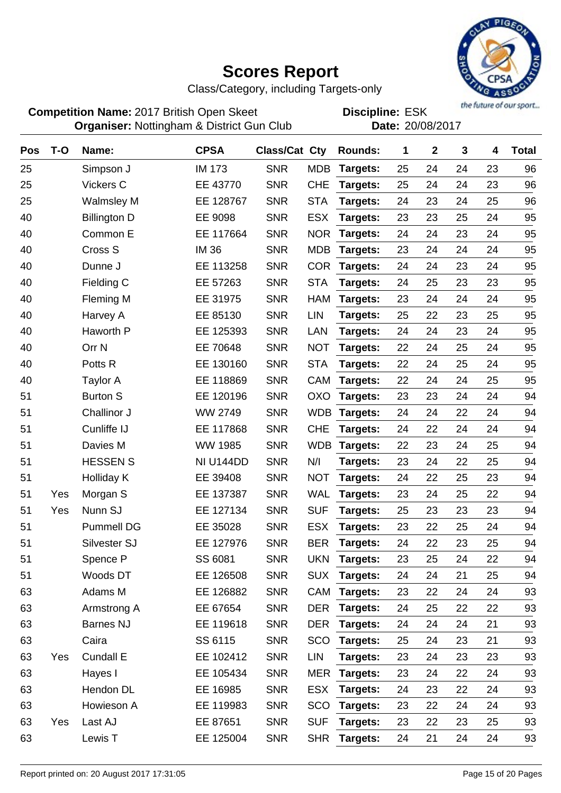

Class/Category, including Targets-only

**Competition Name:** 2017 British Open Skeet **EDIS** Discipline: ESK **Organiser:** Nottingham & District Gun Club **Date:** 20/08/2017

| Pos | $T-O$ | Name:               | <b>CPSA</b>    | Class/Cat Cty |            | <b>Rounds:</b>  | 1  | $\mathbf 2$ | 3  | 4  | <b>Total</b> |
|-----|-------|---------------------|----------------|---------------|------------|-----------------|----|-------------|----|----|--------------|
| 25  |       | Simpson J           | <b>IM 173</b>  | <b>SNR</b>    | <b>MDB</b> | Targets:        | 25 | 24          | 24 | 23 | 96           |
| 25  |       | Vickers C           | EE 43770       | <b>SNR</b>    | <b>CHE</b> | Targets:        | 25 | 24          | 24 | 23 | 96           |
| 25  |       | <b>Walmsley M</b>   | EE 128767      | <b>SNR</b>    | <b>STA</b> | Targets:        | 24 | 23          | 24 | 25 | 96           |
| 40  |       | <b>Billington D</b> | EE 9098        | <b>SNR</b>    | <b>ESX</b> | Targets:        | 23 | 23          | 25 | 24 | 95           |
| 40  |       | Common E            | EE 117664      | <b>SNR</b>    | <b>NOR</b> | Targets:        | 24 | 24          | 23 | 24 | 95           |
| 40  |       | Cross S             | <b>IM 36</b>   | <b>SNR</b>    | <b>MDB</b> | Targets:        | 23 | 24          | 24 | 24 | 95           |
| 40  |       | Dunne J             | EE 113258      | <b>SNR</b>    | <b>COR</b> | Targets:        | 24 | 24          | 23 | 24 | 95           |
| 40  |       | Fielding C          | EE 57263       | <b>SNR</b>    | <b>STA</b> | Targets:        | 24 | 25          | 23 | 23 | 95           |
| 40  |       | Fleming M           | EE 31975       | <b>SNR</b>    | <b>HAM</b> | Targets:        | 23 | 24          | 24 | 24 | 95           |
| 40  |       | Harvey A            | EE 85130       | <b>SNR</b>    | <b>LIN</b> | Targets:        | 25 | 22          | 23 | 25 | 95           |
| 40  |       | Haworth P           | EE 125393      | <b>SNR</b>    | <b>LAN</b> | Targets:        | 24 | 24          | 23 | 24 | 95           |
| 40  |       | Orr <sub>N</sub>    | EE 70648       | <b>SNR</b>    | <b>NOT</b> | Targets:        | 22 | 24          | 25 | 24 | 95           |
| 40  |       | Potts <sub>R</sub>  | EE 130160      | <b>SNR</b>    | <b>STA</b> | Targets:        | 22 | 24          | 25 | 24 | 95           |
| 40  |       | <b>Taylor A</b>     | EE 118869      | <b>SNR</b>    | <b>CAM</b> | Targets:        | 22 | 24          | 24 | 25 | 95           |
| 51  |       | <b>Burton S</b>     | EE 120196      | <b>SNR</b>    | OXO        | Targets:        | 23 | 23          | 24 | 24 | 94           |
| 51  |       | Challinor J         | WW 2749        | <b>SNR</b>    | <b>WDB</b> | Targets:        | 24 | 24          | 22 | 24 | 94           |
| 51  |       | Cunliffe IJ         | EE 117868      | <b>SNR</b>    | <b>CHE</b> | Targets:        | 24 | 22          | 24 | 24 | 94           |
| 51  |       | Davies M            | <b>WW 1985</b> | <b>SNR</b>    | <b>WDB</b> | Targets:        | 22 | 23          | 24 | 25 | 94           |
| 51  |       | <b>HESSEN S</b>     | NI U144DD      | <b>SNR</b>    | N/I        | Targets:        | 23 | 24          | 22 | 25 | 94           |
| 51  |       | <b>Holliday K</b>   | EE 39408       | <b>SNR</b>    | <b>NOT</b> | Targets:        | 24 | 22          | 25 | 23 | 94           |
| 51  | Yes   | Morgan S            | EE 137387      | <b>SNR</b>    | <b>WAL</b> | Targets:        | 23 | 24          | 25 | 22 | 94           |
| 51  | Yes   | Nunn SJ             | EE 127134      | <b>SNR</b>    | <b>SUF</b> | Targets:        | 25 | 23          | 23 | 23 | 94           |
| 51  |       | <b>Pummell DG</b>   | EE 35028       | <b>SNR</b>    | <b>ESX</b> | Targets:        | 23 | 22          | 25 | 24 | 94           |
| 51  |       | Silvester SJ        | EE 127976      | <b>SNR</b>    | <b>BER</b> | Targets:        | 24 | 22          | 23 | 25 | 94           |
| 51  |       | Spence P            | SS 6081        | <b>SNR</b>    | <b>UKN</b> | Targets:        | 23 | 25          | 24 | 22 | 94           |
| 51  |       | Woods DT            | EE 126508      | <b>SNR</b>    | <b>SUX</b> | Targets:        | 24 | 24          | 21 | 25 | 94           |
| 63  |       | Adams M             | EE 126882      | <b>SNR</b>    | <b>CAM</b> | Targets:        | 23 | 22          | 24 | 24 | 93           |
| 63  |       | Armstrong A         | EE 67654       | <b>SNR</b>    | <b>DER</b> | Targets:        | 24 | 25          | 22 | 22 | 93           |
| 63  |       | <b>Barnes NJ</b>    | EE 119618      | <b>SNR</b>    | <b>DER</b> | Targets:        | 24 | 24          | 24 | 21 | 93           |
| 63  |       | Caira               | SS 6115        | <b>SNR</b>    | SCO        | Targets:        | 25 | 24          | 23 | 21 | 93           |
| 63  | Yes   | Cundall E           | EE 102412      | <b>SNR</b>    | LIN        | Targets:        | 23 | 24          | 23 | 23 | 93           |
| 63  |       | Hayes I             | EE 105434      | <b>SNR</b>    | <b>MER</b> | Targets:        | 23 | 24          | 22 | 24 | 93           |
| 63  |       | Hendon DL           | EE 16985       | <b>SNR</b>    | <b>ESX</b> | Targets:        | 24 | 23          | 22 | 24 | 93           |
| 63  |       | Howieson A          | EE 119983      | <b>SNR</b>    | <b>SCO</b> | <b>Targets:</b> | 23 | 22          | 24 | 24 | 93           |
| 63  | Yes   | Last AJ             | EE 87651       | <b>SNR</b>    | <b>SUF</b> | Targets:        | 23 | 22          | 23 | 25 | 93           |
| 63  |       | Lewis T             | EE 125004      | <b>SNR</b>    | <b>SHR</b> | <b>Targets:</b> | 24 | 21          | 24 | 24 | 93           |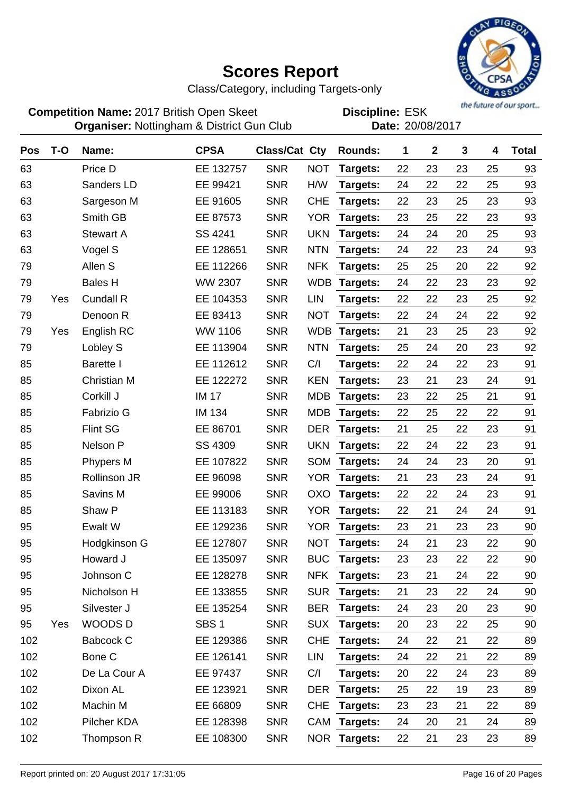

Class/Category, including Targets-only

**Competition Name:** 2017 British Open Skeet **EDIS** Discipline: ESK **Organiser:** Nottingham & District Gun Club **Date:** 20/08/2017

| Pos | $T-O$ | Name:               | <b>CPSA</b>      | <b>Class/Cat Cty</b> |            | <b>Rounds:</b> | 1  | $\mathbf{2}$ | 3  | 4  | <b>Total</b> |
|-----|-------|---------------------|------------------|----------------------|------------|----------------|----|--------------|----|----|--------------|
| 63  |       | Price D             | EE 132757        | <b>SNR</b>           | <b>NOT</b> | Targets:       | 22 | 23           | 23 | 25 | 93           |
| 63  |       | Sanders LD          | EE 99421         | <b>SNR</b>           | H/W        | Targets:       | 24 | 22           | 22 | 25 | 93           |
| 63  |       | Sargeson M          | EE 91605         | <b>SNR</b>           | <b>CHE</b> | Targets:       | 22 | 23           | 25 | 23 | 93           |
| 63  |       | Smith GB            | EE 87573         | <b>SNR</b>           | <b>YOR</b> | Targets:       | 23 | 25           | 22 | 23 | 93           |
| 63  |       | <b>Stewart A</b>    | SS 4241          | <b>SNR</b>           | <b>UKN</b> | Targets:       | 24 | 24           | 20 | 25 | 93           |
| 63  |       | Vogel S             | EE 128651        | <b>SNR</b>           | <b>NTN</b> | Targets:       | 24 | 22           | 23 | 24 | 93           |
| 79  |       | Allen S             | EE 112266        | <b>SNR</b>           | <b>NFK</b> | Targets:       | 25 | 25           | 20 | 22 | 92           |
| 79  |       | <b>Bales H</b>      | WW 2307          | <b>SNR</b>           | <b>WDB</b> | Targets:       | 24 | 22           | 23 | 23 | 92           |
| 79  | Yes   | <b>Cundall R</b>    | EE 104353        | <b>SNR</b>           | <b>LIN</b> | Targets:       | 22 | 22           | 23 | 25 | 92           |
| 79  |       | Denoon R            | EE 83413         | <b>SNR</b>           | <b>NOT</b> | Targets:       | 22 | 24           | 24 | 22 | 92           |
| 79  | Yes   | English RC          | <b>WW 1106</b>   | <b>SNR</b>           | <b>WDB</b> | Targets:       | 21 | 23           | 25 | 23 | 92           |
| 79  |       | Lobley S            | EE 113904        | <b>SNR</b>           | <b>NTN</b> | Targets:       | 25 | 24           | 20 | 23 | 92           |
| 85  |       | <b>Barette I</b>    | EE 112612        | <b>SNR</b>           | C/I        | Targets:       | 22 | 24           | 22 | 23 | 91           |
| 85  |       | <b>Christian M</b>  | EE 122272        | <b>SNR</b>           | <b>KEN</b> | Targets:       | 23 | 21           | 23 | 24 | 91           |
| 85  |       | Corkill J           | <b>IM 17</b>     | <b>SNR</b>           | <b>MDB</b> | Targets:       | 23 | 22           | 25 | 21 | 91           |
| 85  |       | Fabrizio G          | <b>IM 134</b>    | <b>SNR</b>           | <b>MDB</b> | Targets:       | 22 | 25           | 22 | 22 | 91           |
| 85  |       | <b>Flint SG</b>     | EE 86701         | <b>SNR</b>           | <b>DER</b> | Targets:       | 21 | 25           | 22 | 23 | 91           |
| 85  |       | Nelson P            | SS 4309          | <b>SNR</b>           | <b>UKN</b> | Targets:       | 22 | 24           | 22 | 23 | 91           |
| 85  |       | Phypers M           | EE 107822        | <b>SNR</b>           | <b>SOM</b> | Targets:       | 24 | 24           | 23 | 20 | 91           |
| 85  |       | <b>Rollinson JR</b> | EE 96098         | <b>SNR</b>           | <b>YOR</b> | Targets:       | 21 | 23           | 23 | 24 | 91           |
| 85  |       | Savins M            | EE 99006         | <b>SNR</b>           | <b>OXO</b> | Targets:       | 22 | 22           | 24 | 23 | 91           |
| 85  |       | Shaw P              | EE 113183        | <b>SNR</b>           | <b>YOR</b> | Targets:       | 22 | 21           | 24 | 24 | 91           |
| 95  |       | Ewalt W             | EE 129236        | <b>SNR</b>           | <b>YOR</b> | Targets:       | 23 | 21           | 23 | 23 | 90           |
| 95  |       | Hodgkinson G        | EE 127807        | <b>SNR</b>           | <b>NOT</b> | Targets:       | 24 | 21           | 23 | 22 | 90           |
| 95  |       | Howard J            | EE 135097        | <b>SNR</b>           | <b>BUC</b> | Targets:       | 23 | 23           | 22 | 22 | 90           |
| 95  |       | Johnson C           | EE 128278        | <b>SNR</b>           | <b>NFK</b> | Targets:       | 23 | 21           | 24 | 22 | 90           |
| 95  |       | Nicholson H         | EE 133855        | <b>SNR</b>           | <b>SUR</b> | Targets:       | 21 | 23           | 22 | 24 | 90           |
| 95  |       | Silvester J         | EE 135254        | <b>SNR</b>           | <b>BER</b> | Targets:       | 24 | 23           | 20 | 23 | 90           |
| 95  | Yes   | WOODS D             | SBS <sub>1</sub> | <b>SNR</b>           | <b>SUX</b> | Targets:       | 20 | 23           | 22 | 25 | 90           |
| 102 |       | Babcock C           | EE 129386        | <b>SNR</b>           | <b>CHE</b> | Targets:       | 24 | 22           | 21 | 22 | 89           |
| 102 |       | Bone C              | EE 126141        | <b>SNR</b>           | <b>LIN</b> | Targets:       | 24 | 22           | 21 | 22 | 89           |
| 102 |       | De La Cour A        | EE 97437         | <b>SNR</b>           | C/I        | Targets:       | 20 | 22           | 24 | 23 | 89           |
| 102 |       | Dixon AL            | EE 123921        | <b>SNR</b>           | <b>DER</b> | Targets:       | 25 | 22           | 19 | 23 | 89           |
| 102 |       | Machin M            | EE 66809         | <b>SNR</b>           | <b>CHE</b> | Targets:       | 23 | 23           | 21 | 22 | 89           |
| 102 |       | Pilcher KDA         | EE 128398        | <b>SNR</b>           | CAM        | Targets:       | 24 | 20           | 21 | 24 | 89           |
| 102 |       | Thompson R          | EE 108300        | <b>SNR</b>           |            | NOR Targets:   | 22 | 21           | 23 | 23 | 89           |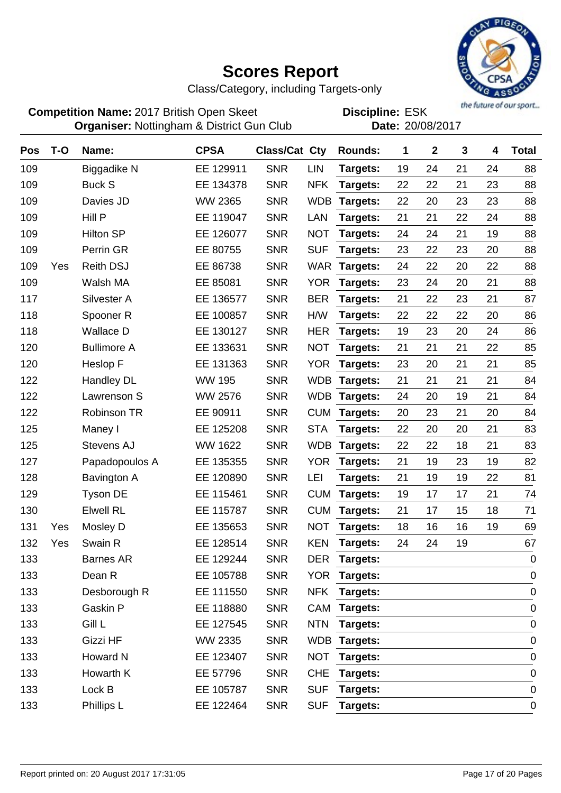

Class/Category, including Targets-only

**Competition Name:** 2017 British Open Skeet **EDIS** Discipline: ESK **Organiser:** Nottingham & District Gun Club **Date:** 20/08/2017

| <b>Pos</b> | $T-O$ | Name:                | <b>CPSA</b>    | <b>Class/Cat Cty</b> |            | <b>Rounds:</b>  | 1  | $\mathbf{2}$ | 3  | 4  | <b>Total</b> |
|------------|-------|----------------------|----------------|----------------------|------------|-----------------|----|--------------|----|----|--------------|
| 109        |       | Biggadike N          | EE 129911      | <b>SNR</b>           | LIN        | Targets:        | 19 | 24           | 21 | 24 | 88           |
| 109        |       | <b>Buck S</b>        | EE 134378      | <b>SNR</b>           | <b>NFK</b> | Targets:        | 22 | 22           | 21 | 23 | 88           |
| 109        |       | Davies JD            | <b>WW 2365</b> | <b>SNR</b>           | <b>WDB</b> | Targets:        | 22 | 20           | 23 | 23 | 88           |
| 109        |       | Hill P               | EE 119047      | <b>SNR</b>           | LAN        | Targets:        | 21 | 21           | 22 | 24 | 88           |
| 109        |       | <b>Hilton SP</b>     | EE 126077      | <b>SNR</b>           | <b>NOT</b> | Targets:        | 24 | 24           | 21 | 19 | 88           |
| 109        |       | Perrin GR            | EE 80755       | <b>SNR</b>           | <b>SUF</b> | Targets:        | 23 | 22           | 23 | 20 | 88           |
| 109        | Yes   | <b>Reith DSJ</b>     | EE 86738       | <b>SNR</b>           | <b>WAR</b> | Targets:        | 24 | 22           | 20 | 22 | 88           |
| 109        |       | Walsh MA             | EE 85081       | <b>SNR</b>           | <b>YOR</b> | Targets:        | 23 | 24           | 20 | 21 | 88           |
| 117        |       | Silvester A          | EE 136577      | <b>SNR</b>           | <b>BER</b> | Targets:        | 21 | 22           | 23 | 21 | 87           |
| 118        |       | Spooner <sub>R</sub> | EE 100857      | <b>SNR</b>           | H/W        | Targets:        | 22 | 22           | 22 | 20 | 86           |
| 118        |       | <b>Wallace D</b>     | EE 130127      | <b>SNR</b>           | <b>HER</b> | Targets:        | 19 | 23           | 20 | 24 | 86           |
| 120        |       | <b>Bullimore A</b>   | EE 133631      | <b>SNR</b>           | <b>NOT</b> | Targets:        | 21 | 21           | 21 | 22 | 85           |
| 120        |       | Heslop F             | EE 131363      | <b>SNR</b>           | <b>YOR</b> | Targets:        | 23 | 20           | 21 | 21 | 85           |
| 122        |       | <b>Handley DL</b>    | <b>WW 195</b>  | <b>SNR</b>           | <b>WDB</b> | Targets:        | 21 | 21           | 21 | 21 | 84           |
| 122        |       | Lawrenson S          | <b>WW 2576</b> | <b>SNR</b>           | <b>WDB</b> | <b>Targets:</b> | 24 | 20           | 19 | 21 | 84           |
| 122        |       | <b>Robinson TR</b>   | EE 90911       | <b>SNR</b>           | <b>CUM</b> | Targets:        | 20 | 23           | 21 | 20 | 84           |
| 125        |       | Maney I              | EE 125208      | <b>SNR</b>           | <b>STA</b> | Targets:        | 22 | 20           | 20 | 21 | 83           |
| 125        |       | Stevens AJ           | WW 1622        | <b>SNR</b>           | <b>WDB</b> | Targets:        | 22 | 22           | 18 | 21 | 83           |
| 127        |       | Papadopoulos A       | EE 135355      | <b>SNR</b>           | <b>YOR</b> | Targets:        | 21 | 19           | 23 | 19 | 82           |
| 128        |       | Bavington A          | EE 120890      | <b>SNR</b>           | LEI        | Targets:        | 21 | 19           | 19 | 22 | 81           |
| 129        |       | <b>Tyson DE</b>      | EE 115461      | <b>SNR</b>           | <b>CUM</b> | Targets:        | 19 | 17           | 17 | 21 | 74           |
| 130        |       | <b>Elwell RL</b>     | EE 115787      | <b>SNR</b>           | <b>CUM</b> | Targets:        | 21 | 17           | 15 | 18 | 71           |
| 131        | Yes   | Mosley D             | EE 135653      | <b>SNR</b>           | <b>NOT</b> | Targets:        | 18 | 16           | 16 | 19 | 69           |
| 132        | Yes   | Swain R              | EE 128514      | <b>SNR</b>           | <b>KEN</b> | Targets:        | 24 | 24           | 19 |    | 67           |
| 133        |       | <b>Barnes AR</b>     | EE 129244      | <b>SNR</b>           | <b>DER</b> | Targets:        |    |              |    |    | $\mathbf 0$  |
| 133        |       | Dean R               | EE 105788      | <b>SNR</b>           | <b>YOR</b> | <b>Targets:</b> |    |              |    |    | $\mathbf 0$  |
| 133        |       | Desborough R         | EE 111550      | <b>SNR</b>           | <b>NFK</b> | Targets:        |    |              |    |    | 0            |
| 133        |       | Gaskin P             | EE 118880      | <b>SNR</b>           | CAM        | Targets:        |    |              |    |    | $\mathbf 0$  |
| 133        |       | Gill L               | EE 127545      | <b>SNR</b>           | <b>NTN</b> | Targets:        |    |              |    |    | $\mathbf 0$  |
| 133        |       | Gizzi HF             | WW 2335        | <b>SNR</b>           |            | WDB Targets:    |    |              |    |    | $\mathbf 0$  |
| 133        |       | Howard N             | EE 123407      | <b>SNR</b>           | <b>NOT</b> | Targets:        |    |              |    |    | 0            |
| 133        |       | Howarth K            | EE 57796       | <b>SNR</b>           | <b>CHE</b> | Targets:        |    |              |    |    | $\mathbf 0$  |
| 133        |       | Lock B               | EE 105787      | <b>SNR</b>           | <b>SUF</b> | Targets:        |    |              |    |    | $\mathbf 0$  |
| 133        |       | Phillips L           | EE 122464      | <b>SNR</b>           | <b>SUF</b> | Targets:        |    |              |    |    | $\pmb{0}$    |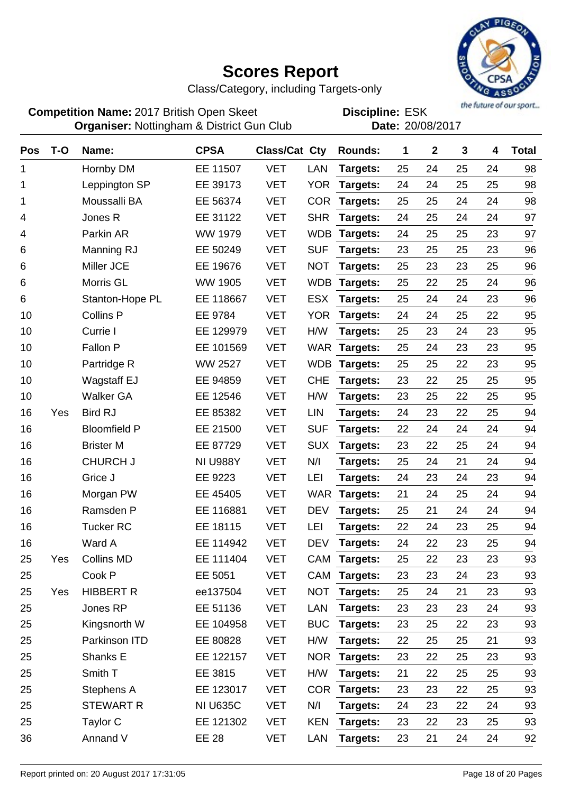

Class/Category, including Targets-only

**Competition Name:** 2017 British Open Skeet **EDIS** Discipline: ESK **Organiser:** Nottingham & District Gun Club **Date:** 20/08/2017

| Pos | $T-O$ | Name:               | <b>CPSA</b>     | Class/Cat Cty |            | <b>Rounds:</b> | 1  | $\mathbf{2}$ | 3  | 4  | <b>Total</b> |
|-----|-------|---------------------|-----------------|---------------|------------|----------------|----|--------------|----|----|--------------|
| 1   |       | Hornby DM           | EE 11507        | <b>VET</b>    | LAN        | Targets:       | 25 | 24           | 25 | 24 | 98           |
| 1   |       | Leppington SP       | EE 39173        | <b>VET</b>    | <b>YOR</b> | Targets:       | 24 | 24           | 25 | 25 | 98           |
| 1   |       | Moussalli BA        | EE 56374        | <b>VET</b>    | <b>COR</b> | Targets:       | 25 | 25           | 24 | 24 | 98           |
| 4   |       | Jones R             | EE 31122        | <b>VET</b>    | <b>SHR</b> | Targets:       | 24 | 25           | 24 | 24 | 97           |
| 4   |       | Parkin AR           | <b>WW 1979</b>  | <b>VET</b>    | <b>WDB</b> | Targets:       | 24 | 25           | 25 | 23 | 97           |
| 6   |       | Manning RJ          | EE 50249        | <b>VET</b>    | <b>SUF</b> | Targets:       | 23 | 25           | 25 | 23 | 96           |
| 6   |       | Miller JCE          | EE 19676        | <b>VET</b>    | <b>NOT</b> | Targets:       | 25 | 23           | 23 | 25 | 96           |
| 6   |       | Morris GL           | <b>WW 1905</b>  | <b>VET</b>    | <b>WDB</b> | Targets:       | 25 | 22           | 25 | 24 | 96           |
| 6   |       | Stanton-Hope PL     | EE 118667       | <b>VET</b>    | <b>ESX</b> | Targets:       | 25 | 24           | 24 | 23 | 96           |
| 10  |       | <b>Collins P</b>    | EE 9784         | <b>VET</b>    | <b>YOR</b> | Targets:       | 24 | 24           | 25 | 22 | 95           |
| 10  |       | Currie I            | EE 129979       | <b>VET</b>    | H/W        | Targets:       | 25 | 23           | 24 | 23 | 95           |
| 10  |       | Fallon P            | EE 101569       | <b>VET</b>    | <b>WAR</b> | Targets:       | 25 | 24           | 23 | 23 | 95           |
| 10  |       | Partridge R         | <b>WW 2527</b>  | <b>VET</b>    | <b>WDB</b> | Targets:       | 25 | 25           | 22 | 23 | 95           |
| 10  |       | <b>Wagstaff EJ</b>  | EE 94859        | <b>VET</b>    | <b>CHE</b> | Targets:       | 23 | 22           | 25 | 25 | 95           |
| 10  |       | <b>Walker GA</b>    | EE 12546        | <b>VET</b>    | H/W        | Targets:       | 23 | 25           | 22 | 25 | 95           |
| 16  | Yes   | <b>Bird RJ</b>      | EE 85382        | <b>VET</b>    | LIN        | Targets:       | 24 | 23           | 22 | 25 | 94           |
| 16  |       | <b>Bloomfield P</b> | EE 21500        | <b>VET</b>    | <b>SUF</b> | Targets:       | 22 | 24           | 24 | 24 | 94           |
| 16  |       | <b>Brister M</b>    | EE 87729        | <b>VET</b>    | <b>SUX</b> | Targets:       | 23 | 22           | 25 | 24 | 94           |
| 16  |       | <b>CHURCH J</b>     | <b>NI U988Y</b> | <b>VET</b>    | N/I        | Targets:       | 25 | 24           | 21 | 24 | 94           |
| 16  |       | Grice J             | EE 9223         | <b>VET</b>    | LEI        | Targets:       | 24 | 23           | 24 | 23 | 94           |
| 16  |       | Morgan PW           | EE 45405        | <b>VET</b>    | <b>WAR</b> | Targets:       | 21 | 24           | 25 | 24 | 94           |
| 16  |       | Ramsden P           | EE 116881       | <b>VET</b>    | <b>DEV</b> | Targets:       | 25 | 21           | 24 | 24 | 94           |
| 16  |       | <b>Tucker RC</b>    | EE 18115        | <b>VET</b>    | LEI        | Targets:       | 22 | 24           | 23 | 25 | 94           |
| 16  |       | Ward A              | EE 114942       | <b>VET</b>    | <b>DEV</b> | Targets:       | 24 | 22           | 23 | 25 | 94           |
| 25  | Yes   | <b>Collins MD</b>   | EE 111404       | <b>VET</b>    | <b>CAM</b> | Targets:       | 25 | 22           | 23 | 23 | 93           |
| 25  |       | Cook P              | EE 5051         | <b>VET</b>    | CAM        | Targets:       | 23 | 23           | 24 | 23 | 93           |
| 25  | Yes   | <b>HIBBERT R</b>    | ee137504        | <b>VET</b>    | <b>NOT</b> | Targets:       | 25 | 24           | 21 | 23 | 93           |
| 25  |       | Jones RP            | EE 51136        | <b>VET</b>    | LAN        | Targets:       | 23 | 23           | 23 | 24 | 93           |
| 25  |       | Kingsnorth W        | EE 104958       | <b>VET</b>    | <b>BUC</b> | Targets:       | 23 | 25           | 22 | 23 | 93           |
| 25  |       | Parkinson ITD       | EE 80828        | <b>VET</b>    | H/W        | Targets:       | 22 | 25           | 25 | 21 | 93           |
| 25  |       | Shanks E            | EE 122157       | <b>VET</b>    | <b>NOR</b> | Targets:       | 23 | 22           | 25 | 23 | 93           |
| 25  |       | Smith T             | EE 3815         | <b>VET</b>    | H/W        | Targets:       | 21 | 22           | 25 | 25 | 93           |
| 25  |       | Stephens A          | EE 123017       | <b>VET</b>    | <b>COR</b> | Targets:       | 23 | 23           | 22 | 25 | 93           |
| 25  |       | <b>STEWART R</b>    | <b>NI U635C</b> | <b>VET</b>    | N/I        | Targets:       | 24 | 23           | 22 | 24 | 93           |
| 25  |       | Taylor C            | EE 121302       | <b>VET</b>    | <b>KEN</b> | Targets:       | 23 | 22           | 23 | 25 | 93           |
| 36  |       | Annand V            | EE 28           | <b>VET</b>    | LAN        | Targets:       | 23 | 21           | 24 | 24 | 92           |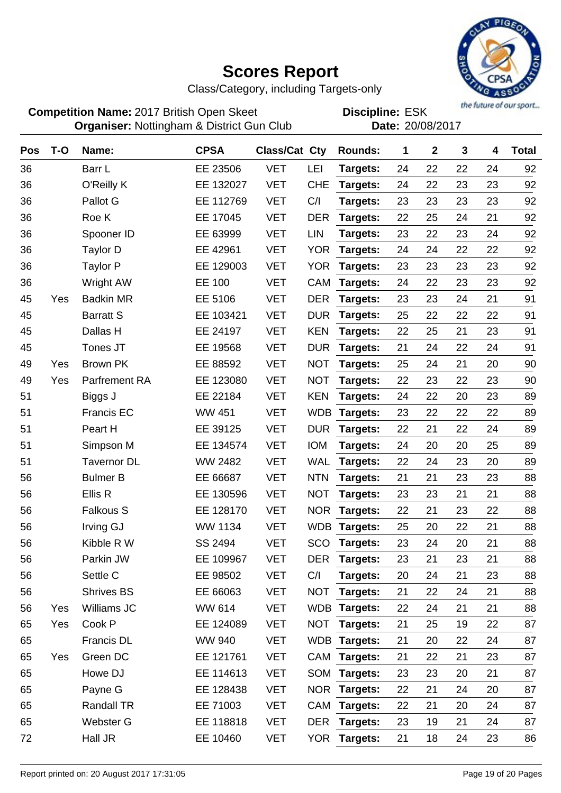

Class/Category, including Targets-only

**Competition Name:** 2017 British Open Skeet **EDIS** Discipline: ESK **Organiser:** Nottingham & District Gun Club **Date:** 20/08/2017

| Pos | $T-O$ | Name:                | <b>CPSA</b>    | <b>Class/Cat Cty</b> |            | <b>Rounds:</b> | 1  | $\mathbf 2$ | 3  | 4  | <b>Total</b> |
|-----|-------|----------------------|----------------|----------------------|------------|----------------|----|-------------|----|----|--------------|
| 36  |       | Barr L               | EE 23506       | <b>VET</b>           | LEI        | Targets:       | 24 | 22          | 22 | 24 | 92           |
| 36  |       | O'Reilly K           | EE 132027      | <b>VET</b>           | <b>CHE</b> | Targets:       | 24 | 22          | 23 | 23 | 92           |
| 36  |       | Pallot G             | EE 112769      | <b>VET</b>           | C/I        | Targets:       | 23 | 23          | 23 | 23 | 92           |
| 36  |       | Roe K                | EE 17045       | <b>VET</b>           | <b>DER</b> | Targets:       | 22 | 25          | 24 | 21 | 92           |
| 36  |       | Spooner ID           | EE 63999       | <b>VET</b>           | LIN        | Targets:       | 23 | 22          | 23 | 24 | 92           |
| 36  |       | Taylor D             | EE 42961       | <b>VET</b>           | <b>YOR</b> | Targets:       | 24 | 24          | 22 | 22 | 92           |
| 36  |       | <b>Taylor P</b>      | EE 129003      | <b>VET</b>           | <b>YOR</b> | Targets:       | 23 | 23          | 23 | 23 | 92           |
| 36  |       | <b>Wright AW</b>     | EE 100         | <b>VET</b>           | <b>CAM</b> | Targets:       | 24 | 22          | 23 | 23 | 92           |
| 45  | Yes   | <b>Badkin MR</b>     | EE 5106        | <b>VET</b>           | <b>DER</b> | Targets:       | 23 | 23          | 24 | 21 | 91           |
| 45  |       | <b>Barratt S</b>     | EE 103421      | <b>VET</b>           | <b>DUR</b> | Targets:       | 25 | 22          | 22 | 22 | 91           |
| 45  |       | Dallas H             | EE 24197       | <b>VET</b>           | <b>KEN</b> | Targets:       | 22 | 25          | 21 | 23 | 91           |
| 45  |       | Tones JT             | EE 19568       | <b>VET</b>           | <b>DUR</b> | Targets:       | 21 | 24          | 22 | 24 | 91           |
| 49  | Yes   | <b>Brown PK</b>      | EE 88592       | <b>VET</b>           | <b>NOT</b> | Targets:       | 25 | 24          | 21 | 20 | 90           |
| 49  | Yes   | <b>Parfrement RA</b> | EE 123080      | <b>VET</b>           | <b>NOT</b> | Targets:       | 22 | 23          | 22 | 23 | 90           |
| 51  |       | Biggs J              | EE 22184       | <b>VET</b>           | <b>KEN</b> | Targets:       | 24 | 22          | 20 | 23 | 89           |
| 51  |       | Francis EC           | <b>WW 451</b>  | <b>VET</b>           | <b>WDB</b> | Targets:       | 23 | 22          | 22 | 22 | 89           |
| 51  |       | Peart H              | EE 39125       | <b>VET</b>           | <b>DUR</b> | Targets:       | 22 | 21          | 22 | 24 | 89           |
| 51  |       | Simpson M            | EE 134574      | <b>VET</b>           | <b>IOM</b> | Targets:       | 24 | 20          | 20 | 25 | 89           |
| 51  |       | <b>Tavernor DL</b>   | WW 2482        | <b>VET</b>           | <b>WAL</b> | Targets:       | 22 | 24          | 23 | 20 | 89           |
| 56  |       | <b>Bulmer B</b>      | EE 66687       | <b>VET</b>           | <b>NTN</b> | Targets:       | 21 | 21          | 23 | 23 | 88           |
| 56  |       | Ellis R              | EE 130596      | <b>VET</b>           | <b>NOT</b> | Targets:       | 23 | 23          | 21 | 21 | 88           |
| 56  |       | <b>Falkous S</b>     | EE 128170      | <b>VET</b>           | <b>NOR</b> | Targets:       | 22 | 21          | 23 | 22 | 88           |
| 56  |       | Irving GJ            | <b>WW 1134</b> | <b>VET</b>           | <b>WDB</b> | Targets:       | 25 | 20          | 22 | 21 | 88           |
| 56  |       | Kibble R W           | SS 2494        | <b>VET</b>           | SCO        | Targets:       | 23 | 24          | 20 | 21 | 88           |
| 56  |       | Parkin JW            | EE 109967      | VET                  | DER        | Targets:       | 23 | 21          | 23 | 21 | 88           |
| 56  |       | Settle C             | EE 98502       | <b>VET</b>           | C/I        | Targets:       | 20 | 24          | 21 | 23 | 88           |
| 56  |       | <b>Shrives BS</b>    | EE 66063       | <b>VET</b>           | <b>NOT</b> | Targets:       | 21 | 22          | 24 | 21 | 88           |
| 56  | Yes   | Williams JC          | WW 614         | <b>VET</b>           |            | WDB Targets:   | 22 | 24          | 21 | 21 | 88           |
| 65  | Yes   | Cook P               | EE 124089      | <b>VET</b>           | <b>NOT</b> | Targets:       | 21 | 25          | 19 | 22 | 87           |
| 65  |       | Francis DL           | <b>WW 940</b>  | <b>VET</b>           |            | WDB Targets:   | 21 | 20          | 22 | 24 | 87           |
| 65  | Yes   | Green DC             | EE 121761      | <b>VET</b>           |            | CAM Targets:   | 21 | 22          | 21 | 23 | 87           |
| 65  |       | Howe DJ              | EE 114613      | <b>VET</b>           |            | SOM Targets:   | 23 | 23          | 20 | 21 | 87           |
| 65  |       | Payne G              | EE 128438      | <b>VET</b>           |            | NOR Targets:   | 22 | 21          | 24 | 20 | 87           |
| 65  |       | Randall TR           | EE 71003       | <b>VET</b>           |            | CAM Targets:   | 22 | 21          | 20 | 24 | 87           |
| 65  |       | Webster G            | EE 118818      | <b>VET</b>           | <b>DER</b> | Targets:       | 23 | 19          | 21 | 24 | 87           |
| 72  |       | Hall JR              | EE 10460       | <b>VET</b>           |            | YOR Targets:   | 21 | 18          | 24 | 23 | 86           |